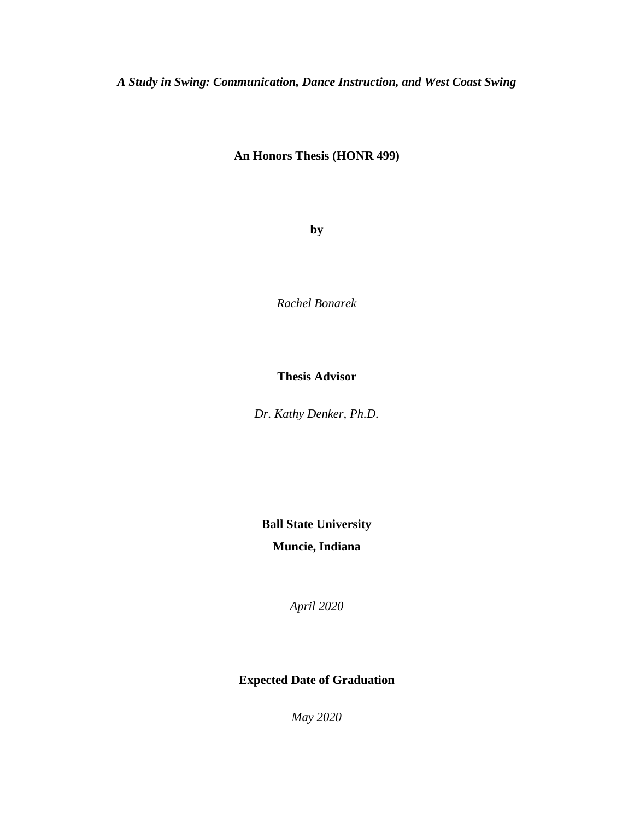*A Study in Swing: Communication, Dance Instruction, and West Coast Swing*

# **An Honors Thesis (HONR 499)**

**by**

*Rachel Bonarek*

## **Thesis Advisor**

*Dr. Kathy Denker, Ph.D.*

**Ball State University**

**Muncie, Indiana**

*April 2020*

# **Expected Date of Graduation**

*May 2020*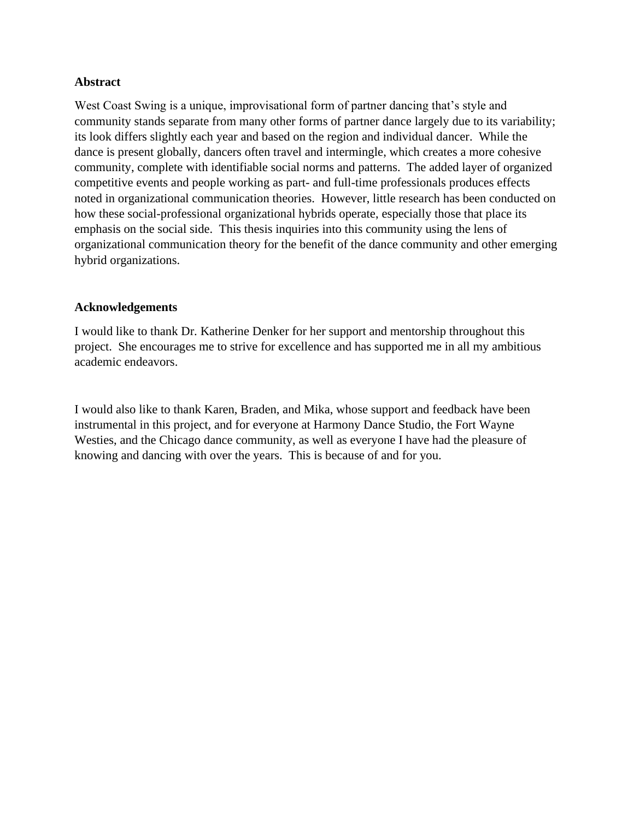### **Abstract**

West Coast Swing is a unique, improvisational form of partner dancing that's style and community stands separate from many other forms of partner dance largely due to its variability; its look differs slightly each year and based on the region and individual dancer. While the dance is present globally, dancers often travel and intermingle, which creates a more cohesive community, complete with identifiable social norms and patterns. The added layer of organized competitive events and people working as part- and full-time professionals produces effects noted in organizational communication theories. However, little research has been conducted on how these social-professional organizational hybrids operate, especially those that place its emphasis on the social side. This thesis inquiries into this community using the lens of organizational communication theory for the benefit of the dance community and other emerging hybrid organizations.

### **Acknowledgements**

I would like to thank Dr. Katherine Denker for her support and mentorship throughout this project. She encourages me to strive for excellence and has supported me in all my ambitious academic endeavors.

I would also like to thank Karen, Braden, and Mika, whose support and feedback have been instrumental in this project, and for everyone at Harmony Dance Studio, the Fort Wayne Westies, and the Chicago dance community, as well as everyone I have had the pleasure of knowing and dancing with over the years. This is because of and for you.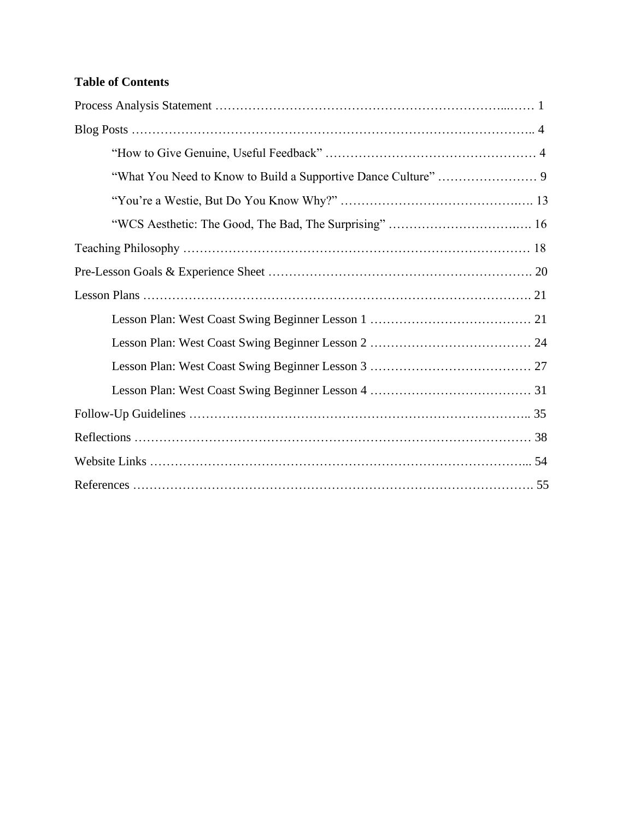# **Table of Contents**

| "WCS Aesthetic: The Good, The Bad, The Surprising"  16 |
|--------------------------------------------------------|
|                                                        |
|                                                        |
|                                                        |
|                                                        |
|                                                        |
|                                                        |
|                                                        |
|                                                        |
|                                                        |
|                                                        |
|                                                        |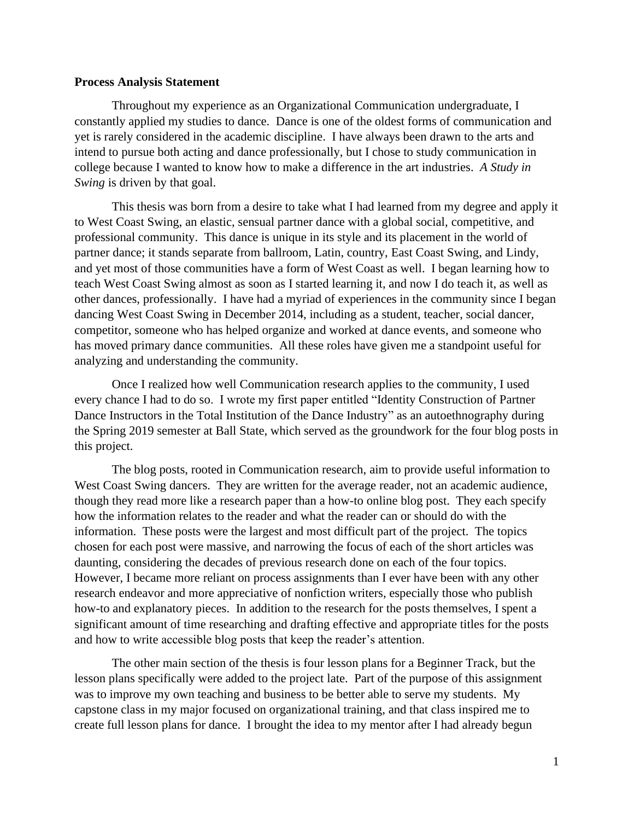#### **Process Analysis Statement**

Throughout my experience as an Organizational Communication undergraduate, I constantly applied my studies to dance. Dance is one of the oldest forms of communication and yet is rarely considered in the academic discipline. I have always been drawn to the arts and intend to pursue both acting and dance professionally, but I chose to study communication in college because I wanted to know how to make a difference in the art industries. *A Study in Swing* is driven by that goal.

This thesis was born from a desire to take what I had learned from my degree and apply it to West Coast Swing, an elastic, sensual partner dance with a global social, competitive, and professional community. This dance is unique in its style and its placement in the world of partner dance; it stands separate from ballroom, Latin, country, East Coast Swing, and Lindy, and yet most of those communities have a form of West Coast as well. I began learning how to teach West Coast Swing almost as soon as I started learning it, and now I do teach it, as well as other dances, professionally. I have had a myriad of experiences in the community since I began dancing West Coast Swing in December 2014, including as a student, teacher, social dancer, competitor, someone who has helped organize and worked at dance events, and someone who has moved primary dance communities. All these roles have given me a standpoint useful for analyzing and understanding the community.

Once I realized how well Communication research applies to the community, I used every chance I had to do so. I wrote my first paper entitled "Identity Construction of Partner Dance Instructors in the Total Institution of the Dance Industry" as an autoethnography during the Spring 2019 semester at Ball State, which served as the groundwork for the four blog posts in this project.

The blog posts, rooted in Communication research, aim to provide useful information to West Coast Swing dancers. They are written for the average reader, not an academic audience, though they read more like a research paper than a how-to online blog post. They each specify how the information relates to the reader and what the reader can or should do with the information. These posts were the largest and most difficult part of the project. The topics chosen for each post were massive, and narrowing the focus of each of the short articles was daunting, considering the decades of previous research done on each of the four topics. However, I became more reliant on process assignments than I ever have been with any other research endeavor and more appreciative of nonfiction writers, especially those who publish how-to and explanatory pieces. In addition to the research for the posts themselves, I spent a significant amount of time researching and drafting effective and appropriate titles for the posts and how to write accessible blog posts that keep the reader's attention.

The other main section of the thesis is four lesson plans for a Beginner Track, but the lesson plans specifically were added to the project late. Part of the purpose of this assignment was to improve my own teaching and business to be better able to serve my students. My capstone class in my major focused on organizational training, and that class inspired me to create full lesson plans for dance. I brought the idea to my mentor after I had already begun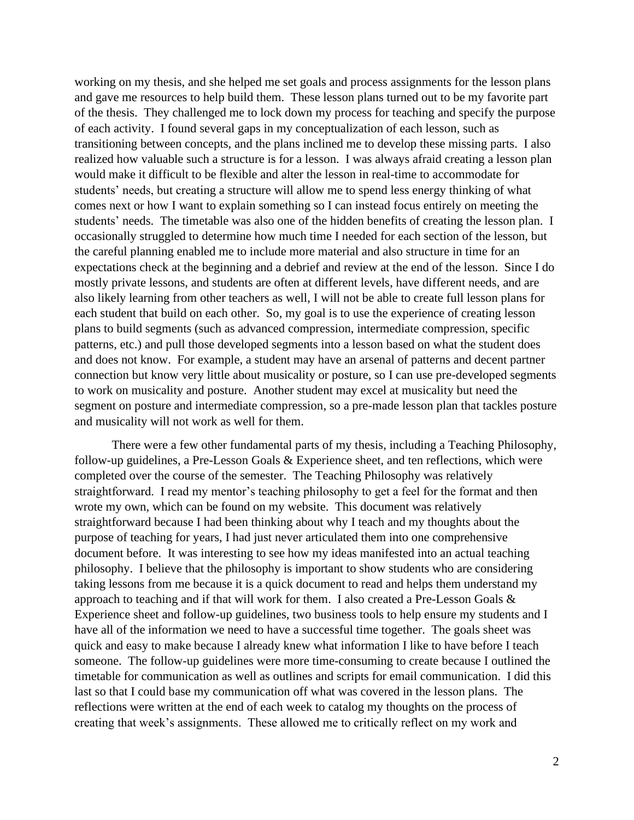working on my thesis, and she helped me set goals and process assignments for the lesson plans and gave me resources to help build them. These lesson plans turned out to be my favorite part of the thesis. They challenged me to lock down my process for teaching and specify the purpose of each activity. I found several gaps in my conceptualization of each lesson, such as transitioning between concepts, and the plans inclined me to develop these missing parts. I also realized how valuable such a structure is for a lesson. I was always afraid creating a lesson plan would make it difficult to be flexible and alter the lesson in real-time to accommodate for students' needs, but creating a structure will allow me to spend less energy thinking of what comes next or how I want to explain something so I can instead focus entirely on meeting the students' needs. The timetable was also one of the hidden benefits of creating the lesson plan. I occasionally struggled to determine how much time I needed for each section of the lesson, but the careful planning enabled me to include more material and also structure in time for an expectations check at the beginning and a debrief and review at the end of the lesson. Since I do mostly private lessons, and students are often at different levels, have different needs, and are also likely learning from other teachers as well, I will not be able to create full lesson plans for each student that build on each other. So, my goal is to use the experience of creating lesson plans to build segments (such as advanced compression, intermediate compression, specific patterns, etc.) and pull those developed segments into a lesson based on what the student does and does not know. For example, a student may have an arsenal of patterns and decent partner connection but know very little about musicality or posture, so I can use pre-developed segments to work on musicality and posture. Another student may excel at musicality but need the segment on posture and intermediate compression, so a pre-made lesson plan that tackles posture and musicality will not work as well for them.

There were a few other fundamental parts of my thesis, including a Teaching Philosophy, follow-up guidelines, a Pre-Lesson Goals & Experience sheet, and ten reflections, which were completed over the course of the semester. The Teaching Philosophy was relatively straightforward. I read my mentor's teaching philosophy to get a feel for the format and then wrote my own, which can be found on my website. This document was relatively straightforward because I had been thinking about why I teach and my thoughts about the purpose of teaching for years, I had just never articulated them into one comprehensive document before. It was interesting to see how my ideas manifested into an actual teaching philosophy. I believe that the philosophy is important to show students who are considering taking lessons from me because it is a quick document to read and helps them understand my approach to teaching and if that will work for them. I also created a Pre-Lesson Goals  $\&$ Experience sheet and follow-up guidelines, two business tools to help ensure my students and I have all of the information we need to have a successful time together. The goals sheet was quick and easy to make because I already knew what information I like to have before I teach someone. The follow-up guidelines were more time-consuming to create because I outlined the timetable for communication as well as outlines and scripts for email communication. I did this last so that I could base my communication off what was covered in the lesson plans. The reflections were written at the end of each week to catalog my thoughts on the process of creating that week's assignments. These allowed me to critically reflect on my work and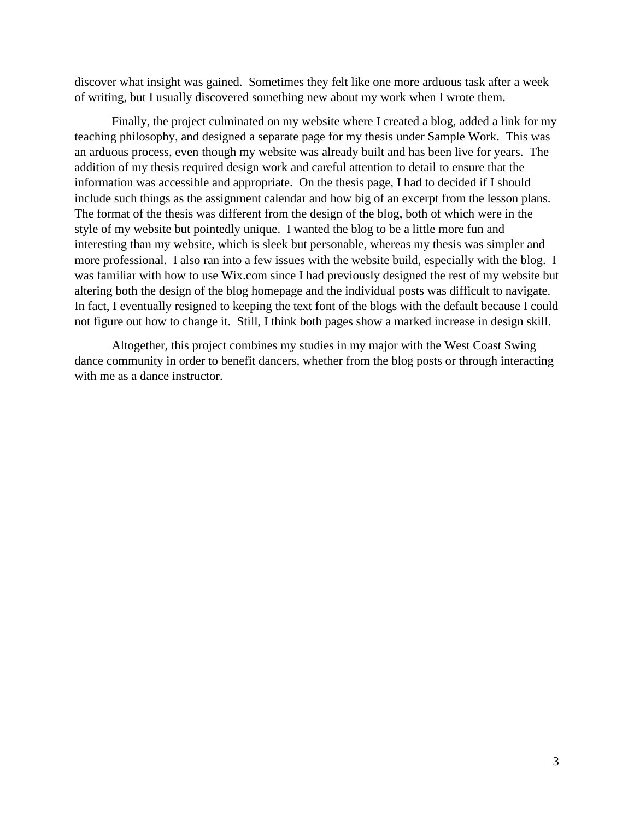discover what insight was gained. Sometimes they felt like one more arduous task after a week of writing, but I usually discovered something new about my work when I wrote them.

Finally, the project culminated on my website where I created a blog, added a link for my teaching philosophy, and designed a separate page for my thesis under Sample Work. This was an arduous process, even though my website was already built and has been live for years. The addition of my thesis required design work and careful attention to detail to ensure that the information was accessible and appropriate. On the thesis page, I had to decided if I should include such things as the assignment calendar and how big of an excerpt from the lesson plans. The format of the thesis was different from the design of the blog, both of which were in the style of my website but pointedly unique. I wanted the blog to be a little more fun and interesting than my website, which is sleek but personable, whereas my thesis was simpler and more professional. I also ran into a few issues with the website build, especially with the blog. I was familiar with how to use Wix.com since I had previously designed the rest of my website but altering both the design of the blog homepage and the individual posts was difficult to navigate. In fact, I eventually resigned to keeping the text font of the blogs with the default because I could not figure out how to change it. Still, I think both pages show a marked increase in design skill.

Altogether, this project combines my studies in my major with the West Coast Swing dance community in order to benefit dancers, whether from the blog posts or through interacting with me as a dance instructor.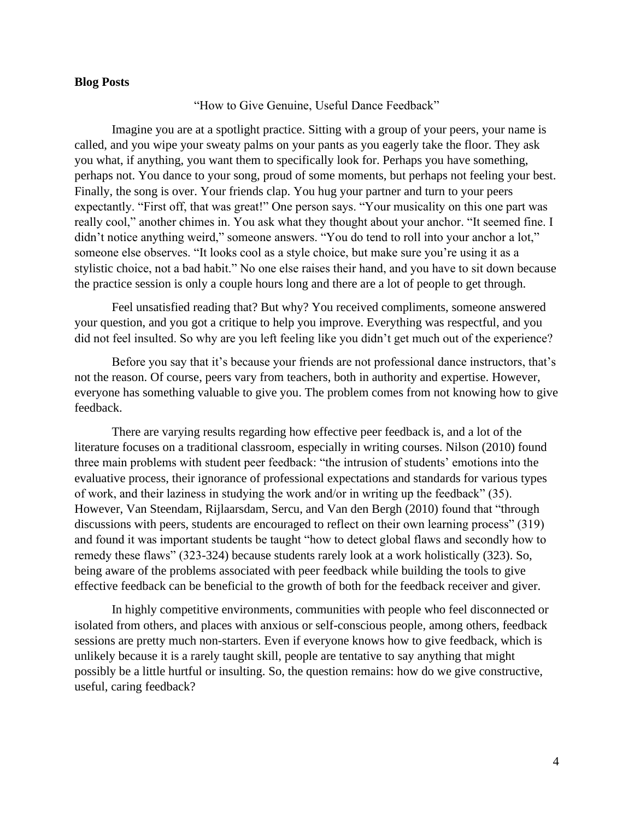#### **Blog Posts**

"How to Give Genuine, Useful Dance Feedback"

Imagine you are at a spotlight practice. Sitting with a group of your peers, your name is called, and you wipe your sweaty palms on your pants as you eagerly take the floor. They ask you what, if anything, you want them to specifically look for. Perhaps you have something, perhaps not. You dance to your song, proud of some moments, but perhaps not feeling your best. Finally, the song is over. Your friends clap. You hug your partner and turn to your peers expectantly. "First off, that was great!" One person says. "Your musicality on this one part was really cool," another chimes in. You ask what they thought about your anchor. "It seemed fine. I didn't notice anything weird," someone answers. "You do tend to roll into your anchor a lot," someone else observes. "It looks cool as a style choice, but make sure you're using it as a stylistic choice, not a bad habit." No one else raises their hand, and you have to sit down because the practice session is only a couple hours long and there are a lot of people to get through.

Feel unsatisfied reading that? But why? You received compliments, someone answered your question, and you got a critique to help you improve. Everything was respectful, and you did not feel insulted. So why are you left feeling like you didn't get much out of the experience?

Before you say that it's because your friends are not professional dance instructors, that's not the reason. Of course, peers vary from teachers, both in authority and expertise. However, everyone has something valuable to give you. The problem comes from not knowing how to give feedback.

There are varying results regarding how effective peer feedback is, and a lot of the literature focuses on a traditional classroom, especially in writing courses. Nilson (2010) found three main problems with student peer feedback: "the intrusion of students' emotions into the evaluative process, their ignorance of professional expectations and standards for various types of work, and their laziness in studying the work and/or in writing up the feedback" (35). However, Van Steendam, Rijlaarsdam, Sercu, and Van den Bergh (2010) found that "through discussions with peers, students are encouraged to reflect on their own learning process" (319) and found it was important students be taught "how to detect global flaws and secondly how to remedy these flaws" (323-324) because students rarely look at a work holistically (323). So, being aware of the problems associated with peer feedback while building the tools to give effective feedback can be beneficial to the growth of both for the feedback receiver and giver.

In highly competitive environments, communities with people who feel disconnected or isolated from others, and places with anxious or self-conscious people, among others, feedback sessions are pretty much non-starters. Even if everyone knows how to give feedback, which is unlikely because it is a rarely taught skill, people are tentative to say anything that might possibly be a little hurtful or insulting. So, the question remains: how do we give constructive, useful, caring feedback?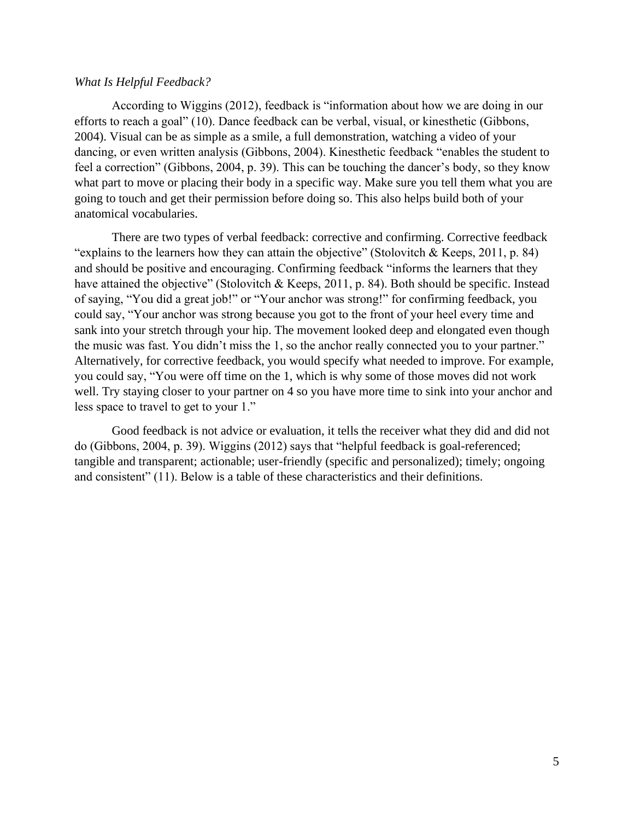#### *What Is Helpful Feedback?*

According to Wiggins (2012), feedback is "information about how we are doing in our efforts to reach a goal" (10). Dance feedback can be verbal, visual, or kinesthetic (Gibbons, 2004). Visual can be as simple as a smile, a full demonstration, watching a video of your dancing, or even written analysis (Gibbons, 2004). Kinesthetic feedback "enables the student to feel a correction" (Gibbons, 2004, p. 39). This can be touching the dancer's body, so they know what part to move or placing their body in a specific way. Make sure you tell them what you are going to touch and get their permission before doing so. This also helps build both of your anatomical vocabularies.

There are two types of verbal feedback: corrective and confirming. Corrective feedback "explains to the learners how they can attain the objective" (Stolovitch & Keeps, 2011, p. 84) and should be positive and encouraging. Confirming feedback "informs the learners that they have attained the objective" (Stolovitch & Keeps, 2011, p. 84). Both should be specific. Instead of saying, "You did a great job!" or "Your anchor was strong!" for confirming feedback, you could say, "Your anchor was strong because you got to the front of your heel every time and sank into your stretch through your hip. The movement looked deep and elongated even though the music was fast. You didn't miss the 1, so the anchor really connected you to your partner." Alternatively, for corrective feedback, you would specify what needed to improve. For example, you could say, "You were off time on the 1, which is why some of those moves did not work well. Try staying closer to your partner on 4 so you have more time to sink into your anchor and less space to travel to get to your 1."

Good feedback is not advice or evaluation, it tells the receiver what they did and did not do (Gibbons, 2004, p. 39). Wiggins (2012) says that "helpful feedback is goal-referenced; tangible and transparent; actionable; user-friendly (specific and personalized); timely; ongoing and consistent" (11). Below is a table of these characteristics and their definitions.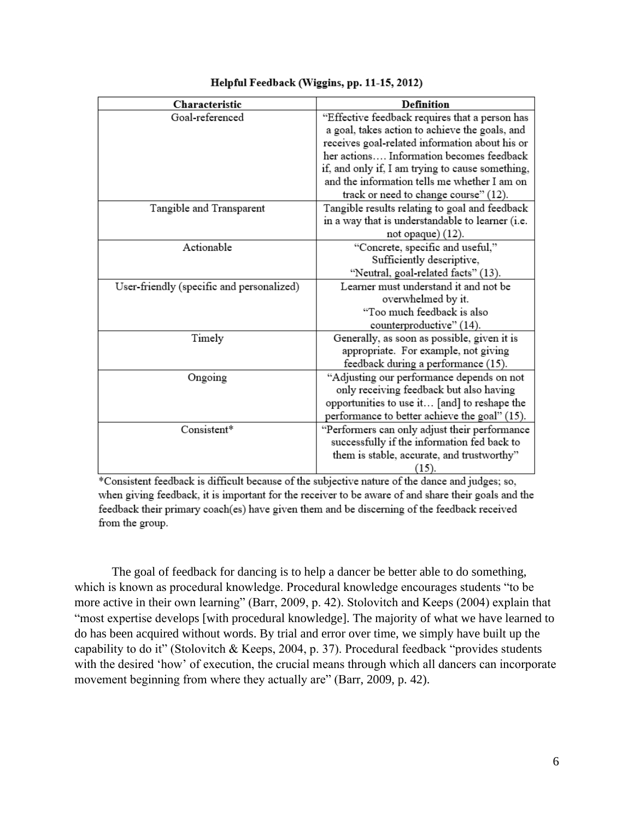| Characteristic                            | <b>Definition</b>                                |
|-------------------------------------------|--------------------------------------------------|
| Goal-referenced                           | "Effective feedback requires that a person has   |
|                                           | a goal, takes action to achieve the goals, and   |
|                                           | receives goal-related information about his or   |
|                                           | her actions Information becomes feedback         |
|                                           | if, and only if, I am trying to cause something, |
|                                           | and the information tells me whether I am on     |
|                                           | track or need to change course" (12).            |
| Tangible and Transparent                  | Tangible results relating to goal and feedback   |
|                                           | in a way that is understandable to learner (i.e. |
|                                           | not opaque) $(12)$ .                             |
| Actionable                                | "Concrete, specific and useful,"                 |
|                                           | Sufficiently descriptive,                        |
|                                           | "Neutral, goal-related facts" (13).              |
| User-friendly (specific and personalized) | Learner must understand it and not be            |
|                                           | overwhelmed by it.                               |
|                                           | "Too much feedback is also                       |
|                                           | counterproductive" (14).                         |
| Timely                                    | Generally, as soon as possible, given it is      |
|                                           | appropriate. For example, not giving             |
|                                           | feedback during a performance (15).              |
| Ongoing                                   | "Adjusting our performance depends on not        |
|                                           | only receiving feedback but also having          |
|                                           | opportunities to use it [and] to reshape the     |
|                                           | performance to better achieve the goal" (15).    |
| Consistent*                               | "Performers can only adjust their performance    |
|                                           | successfully if the information fed back to      |
|                                           | them is stable, accurate, and trustworthy"       |
|                                           | (15).                                            |

#### Helpful Feedback (Wiggins, pp. 11-15, 2012)

\*Consistent feedback is difficult because of the subjective nature of the dance and judges; so, when giving feedback, it is important for the receiver to be aware of and share their goals and the feedback their primary coach(es) have given them and be discerning of the feedback received from the group.

The goal of feedback for dancing is to help a dancer be better able to do something, which is known as procedural knowledge. Procedural knowledge encourages students "to be more active in their own learning" (Barr, 2009, p. 42). Stolovitch and Keeps (2004) explain that "most expertise develops [with procedural knowledge]. The majority of what we have learned to do has been acquired without words. By trial and error over time, we simply have built up the capability to do it" (Stolovitch & Keeps, 2004, p. 37). Procedural feedback "provides students with the desired 'how' of execution, the crucial means through which all dancers can incorporate movement beginning from where they actually are" (Barr, 2009, p. 42).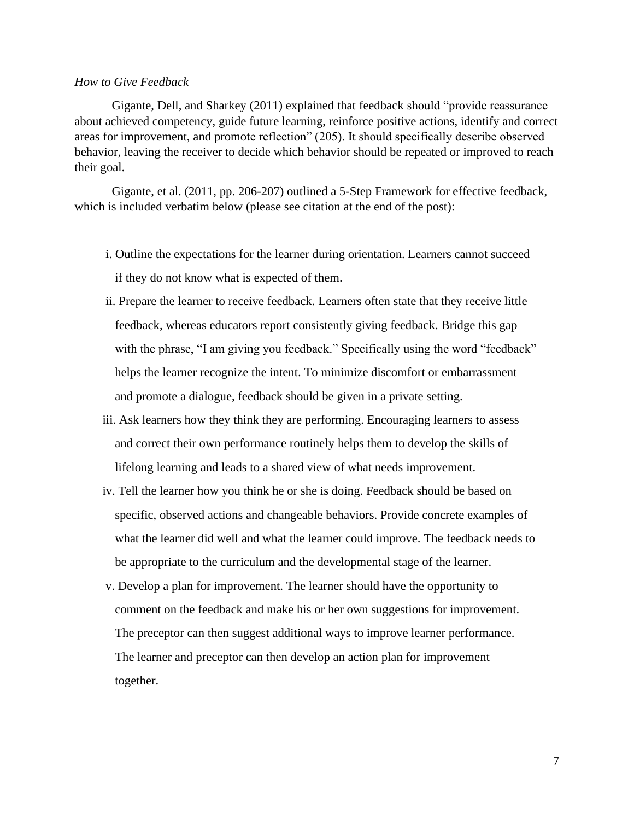#### *How to Give Feedback*

Gigante, Dell, and Sharkey (2011) explained that feedback should "provide reassurance about achieved competency, guide future learning, reinforce positive actions, identify and correct areas for improvement, and promote reflection" (205). It should specifically describe observed behavior, leaving the receiver to decide which behavior should be repeated or improved to reach their goal.

Gigante, et al. (2011, pp. 206-207) outlined a 5-Step Framework for effective feedback, which is included verbatim below (please see citation at the end of the post):

- i. Outline the expectations for the learner during orientation. Learners cannot succeed if they do not know what is expected of them.
- ii. Prepare the learner to receive feedback. Learners often state that they receive little feedback, whereas educators report consistently giving feedback. Bridge this gap with the phrase, "I am giving you feedback." Specifically using the word "feedback" helps the learner recognize the intent. To minimize discomfort or embarrassment and promote a dialogue, feedback should be given in a private setting.
- iii. Ask learners how they think they are performing. Encouraging learners to assess and correct their own performance routinely helps them to develop the skills of lifelong learning and leads to a shared view of what needs improvement.
- iv. Tell the learner how you think he or she is doing. Feedback should be based on specific, observed actions and changeable behaviors. Provide concrete examples of what the learner did well and what the learner could improve. The feedback needs to be appropriate to the curriculum and the developmental stage of the learner.
- v. Develop a plan for improvement. The learner should have the opportunity to comment on the feedback and make his or her own suggestions for improvement. The preceptor can then suggest additional ways to improve learner performance. The learner and preceptor can then develop an action plan for improvement together.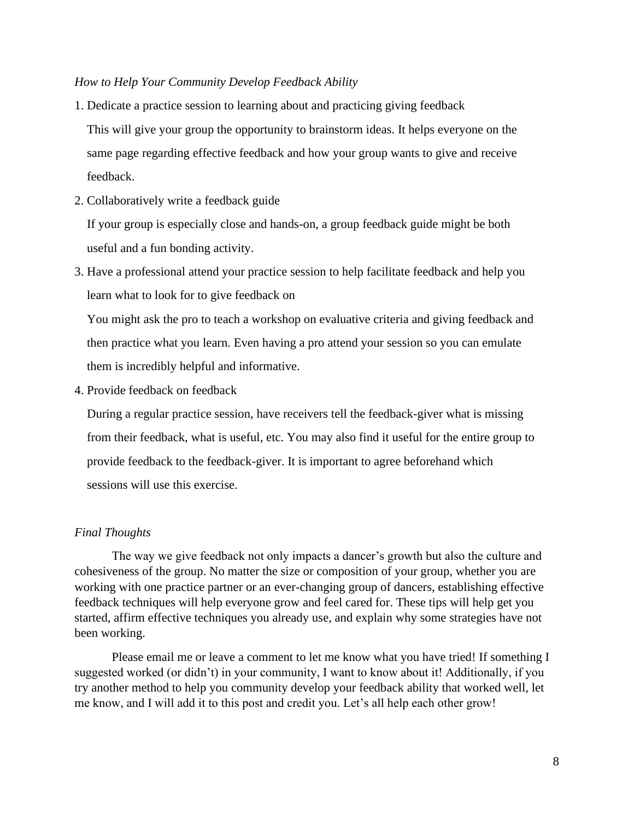#### *How to Help Your Community Develop Feedback Ability*

- 1. Dedicate a practice session to learning about and practicing giving feedback This will give your group the opportunity to brainstorm ideas. It helps everyone on the same page regarding effective feedback and how your group wants to give and receive feedback.
- 2. Collaboratively write a feedback guide

 If your group is especially close and hands-on, a group feedback guide might be both useful and a fun bonding activity.

3. Have a professional attend your practice session to help facilitate feedback and help you learn what to look for to give feedback on

 You might ask the pro to teach a workshop on evaluative criteria and giving feedback and then practice what you learn. Even having a pro attend your session so you can emulate them is incredibly helpful and informative.

4. Provide feedback on feedback

 During a regular practice session, have receivers tell the feedback-giver what is missing from their feedback, what is useful, etc. You may also find it useful for the entire group to provide feedback to the feedback-giver. It is important to agree beforehand which sessions will use this exercise.

#### *Final Thoughts*

The way we give feedback not only impacts a dancer's growth but also the culture and cohesiveness of the group. No matter the size or composition of your group, whether you are working with one practice partner or an ever-changing group of dancers, establishing effective feedback techniques will help everyone grow and feel cared for. These tips will help get you started, affirm effective techniques you already use, and explain why some strategies have not been working.

Please email me or leave a comment to let me know what you have tried! If something I suggested worked (or didn't) in your community, I want to know about it! Additionally, if you try another method to help you community develop your feedback ability that worked well, let me know, and I will add it to this post and credit you. Let's all help each other grow!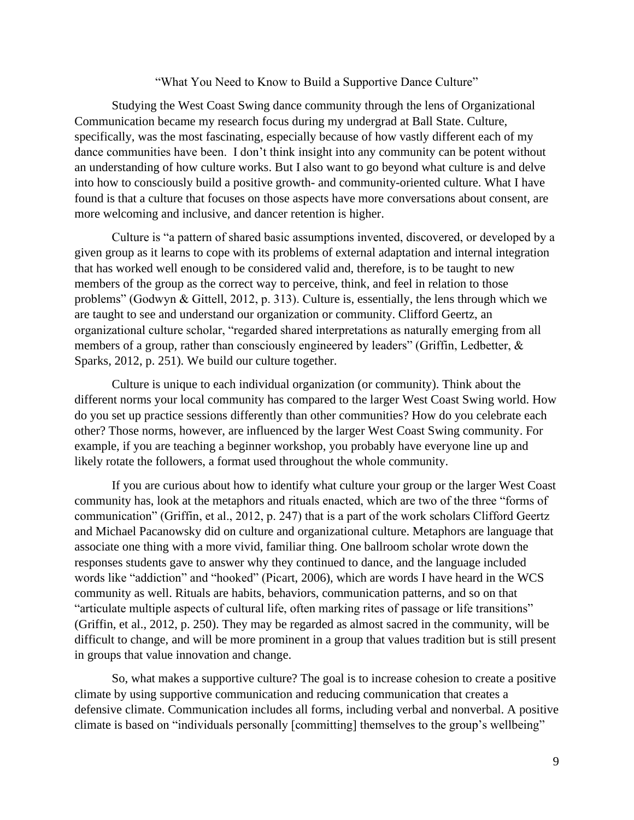#### "What You Need to Know to Build a Supportive Dance Culture"

Studying the West Coast Swing dance community through the lens of Organizational Communication became my research focus during my undergrad at Ball State. Culture, specifically, was the most fascinating, especially because of how vastly different each of my dance communities have been. I don't think insight into any community can be potent without an understanding of how culture works. But I also want to go beyond what culture is and delve into how to consciously build a positive growth- and community-oriented culture. What I have found is that a culture that focuses on those aspects have more conversations about consent, are more welcoming and inclusive, and dancer retention is higher.

Culture is "a pattern of shared basic assumptions invented, discovered, or developed by a given group as it learns to cope with its problems of external adaptation and internal integration that has worked well enough to be considered valid and, therefore, is to be taught to new members of the group as the correct way to perceive, think, and feel in relation to those problems" (Godwyn & Gittell, 2012, p. 313). Culture is, essentially, the lens through which we are taught to see and understand our organization or community. Clifford Geertz, an organizational culture scholar, "regarded shared interpretations as naturally emerging from all members of a group, rather than consciously engineered by leaders" (Griffin, Ledbetter, & Sparks, 2012, p. 251). We build our culture together.

Culture is unique to each individual organization (or community). Think about the different norms your local community has compared to the larger West Coast Swing world. How do you set up practice sessions differently than other communities? How do you celebrate each other? Those norms, however, are influenced by the larger West Coast Swing community. For example, if you are teaching a beginner workshop, you probably have everyone line up and likely rotate the followers, a format used throughout the whole community.

If you are curious about how to identify what culture your group or the larger West Coast community has, look at the metaphors and rituals enacted, which are two of the three "forms of communication" (Griffin, et al., 2012, p. 247) that is a part of the work scholars Clifford Geertz and Michael Pacanowsky did on culture and organizational culture. Metaphors are language that associate one thing with a more vivid, familiar thing. One ballroom scholar wrote down the responses students gave to answer why they continued to dance, and the language included words like "addiction" and "hooked" (Picart, 2006), which are words I have heard in the WCS community as well. Rituals are habits, behaviors, communication patterns, and so on that "articulate multiple aspects of cultural life, often marking rites of passage or life transitions" (Griffin, et al., 2012, p. 250). They may be regarded as almost sacred in the community, will be difficult to change, and will be more prominent in a group that values tradition but is still present in groups that value innovation and change.

So, what makes a supportive culture? The goal is to increase cohesion to create a positive climate by using supportive communication and reducing communication that creates a defensive climate. Communication includes all forms, including verbal and nonverbal. A positive climate is based on "individuals personally [committing] themselves to the group's wellbeing"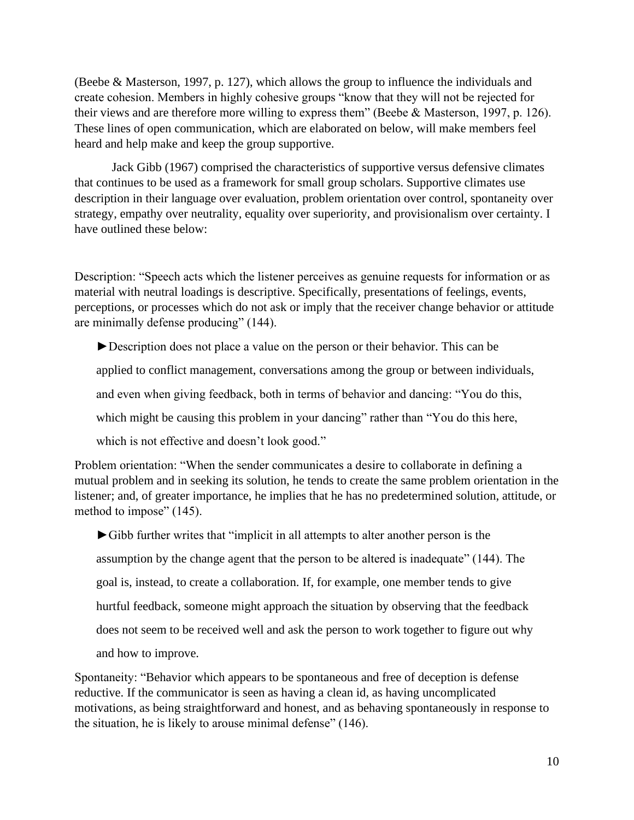(Beebe & Masterson, 1997, p. 127), which allows the group to influence the individuals and create cohesion. Members in highly cohesive groups "know that they will not be rejected for their views and are therefore more willing to express them" (Beebe & Masterson, 1997, p. 126). These lines of open communication, which are elaborated on below, will make members feel heard and help make and keep the group supportive.

Jack Gibb (1967) comprised the characteristics of supportive versus defensive climates that continues to be used as a framework for small group scholars. Supportive climates use description in their language over evaluation, problem orientation over control, spontaneity over strategy, empathy over neutrality, equality over superiority, and provisionalism over certainty. I have outlined these below:

Description: "Speech acts which the listener perceives as genuine requests for information or as material with neutral loadings is descriptive. Specifically, presentations of feelings, events, perceptions, or processes which do not ask or imply that the receiver change behavior or attitude are minimally defense producing" (144).

►Description does not place a value on the person or their behavior. This can be

applied to conflict management, conversations among the group or between individuals,

and even when giving feedback, both in terms of behavior and dancing: "You do this,

which might be causing this problem in your dancing" rather than "You do this here,

which is not effective and doesn't look good."

Problem orientation: "When the sender communicates a desire to collaborate in defining a mutual problem and in seeking its solution, he tends to create the same problem orientation in the listener; and, of greater importance, he implies that he has no predetermined solution, attitude, or method to impose" (145).

 ►Gibb further writes that "implicit in all attempts to alter another person is the assumption by the change agent that the person to be altered is inadequate" (144). The goal is, instead, to create a collaboration. If, for example, one member tends to give hurtful feedback, someone might approach the situation by observing that the feedback does not seem to be received well and ask the person to work together to figure out why and how to improve.

Spontaneity: "Behavior which appears to be spontaneous and free of deception is defense reductive. If the communicator is seen as having a clean id, as having uncomplicated motivations, as being straightforward and honest, and as behaving spontaneously in response to the situation, he is likely to arouse minimal defense" (146).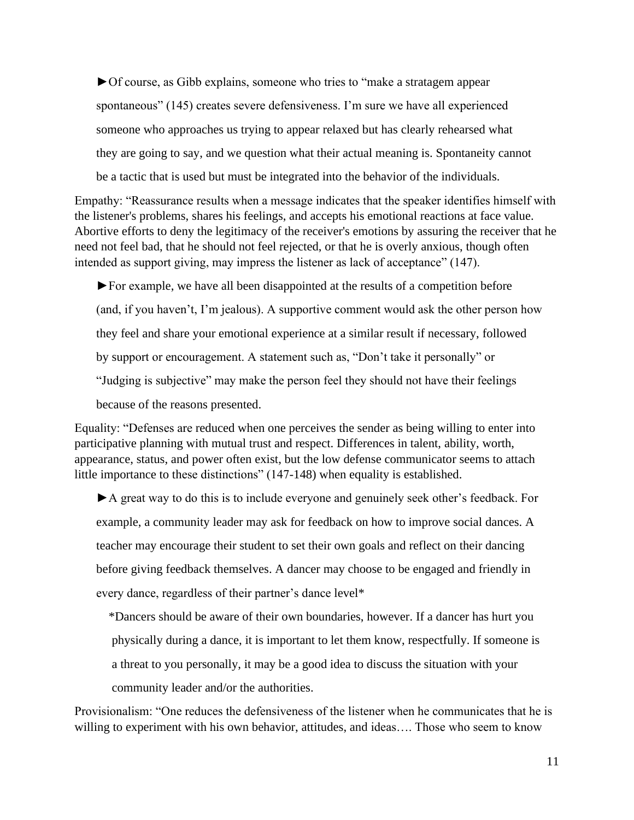►Of course, as Gibb explains, someone who tries to "make a stratagem appear spontaneous" (145) creates severe defensiveness. I'm sure we have all experienced someone who approaches us trying to appear relaxed but has clearly rehearsed what they are going to say, and we question what their actual meaning is. Spontaneity cannot be a tactic that is used but must be integrated into the behavior of the individuals.

Empathy: "Reassurance results when a message indicates that the speaker identifies himself with the listener's problems, shares his feelings, and accepts his emotional reactions at face value. Abortive efforts to deny the legitimacy of the receiver's emotions by assuring the receiver that he need not feel bad, that he should not feel rejected, or that he is overly anxious, though often intended as support giving, may impress the listener as lack of acceptance" (147).

 ►For example, we have all been disappointed at the results of a competition before (and, if you haven't, I'm jealous). A supportive comment would ask the other person how they feel and share your emotional experience at a similar result if necessary, followed by support or encouragement. A statement such as, "Don't take it personally" or "Judging is subjective" may make the person feel they should not have their feelings because of the reasons presented.

Equality: "Defenses are reduced when one perceives the sender as being willing to enter into participative planning with mutual trust and respect. Differences in talent, ability, worth, appearance, status, and power often exist, but the low defense communicator seems to attach little importance to these distinctions" (147-148) when equality is established.

 ►A great way to do this is to include everyone and genuinely seek other's feedback. For example, a community leader may ask for feedback on how to improve social dances. A teacher may encourage their student to set their own goals and reflect on their dancing before giving feedback themselves. A dancer may choose to be engaged and friendly in every dance, regardless of their partner's dance level\*

 \*Dancers should be aware of their own boundaries, however. If a dancer has hurt you physically during a dance, it is important to let them know, respectfully. If someone is a threat to you personally, it may be a good idea to discuss the situation with your community leader and/or the authorities.

Provisionalism: "One reduces the defensiveness of the listener when he communicates that he is willing to experiment with his own behavior, attitudes, and ideas.... Those who seem to know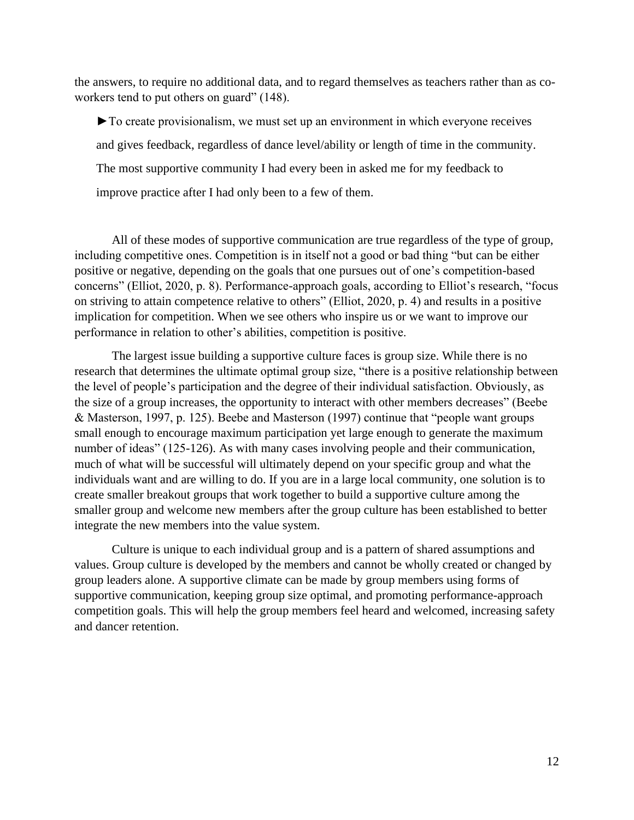the answers, to require no additional data, and to regard themselves as teachers rather than as coworkers tend to put others on guard" (148).

 ►To create provisionalism, we must set up an environment in which everyone receives and gives feedback, regardless of dance level/ability or length of time in the community. The most supportive community I had every been in asked me for my feedback to improve practice after I had only been to a few of them.

All of these modes of supportive communication are true regardless of the type of group, including competitive ones. Competition is in itself not a good or bad thing "but can be either positive or negative, depending on the goals that one pursues out of one's competition-based concerns" (Elliot, 2020, p. 8). Performance-approach goals, according to Elliot's research, "focus on striving to attain competence relative to others" (Elliot, 2020, p. 4) and results in a positive implication for competition. When we see others who inspire us or we want to improve our performance in relation to other's abilities, competition is positive.

The largest issue building a supportive culture faces is group size. While there is no research that determines the ultimate optimal group size, "there is a positive relationship between the level of people's participation and the degree of their individual satisfaction. Obviously, as the size of a group increases, the opportunity to interact with other members decreases" (Beebe & Masterson, 1997, p. 125). Beebe and Masterson (1997) continue that "people want groups small enough to encourage maximum participation yet large enough to generate the maximum number of ideas" (125-126). As with many cases involving people and their communication, much of what will be successful will ultimately depend on your specific group and what the individuals want and are willing to do. If you are in a large local community, one solution is to create smaller breakout groups that work together to build a supportive culture among the smaller group and welcome new members after the group culture has been established to better integrate the new members into the value system.

Culture is unique to each individual group and is a pattern of shared assumptions and values. Group culture is developed by the members and cannot be wholly created or changed by group leaders alone. A supportive climate can be made by group members using forms of supportive communication, keeping group size optimal, and promoting performance-approach competition goals. This will help the group members feel heard and welcomed, increasing safety and dancer retention.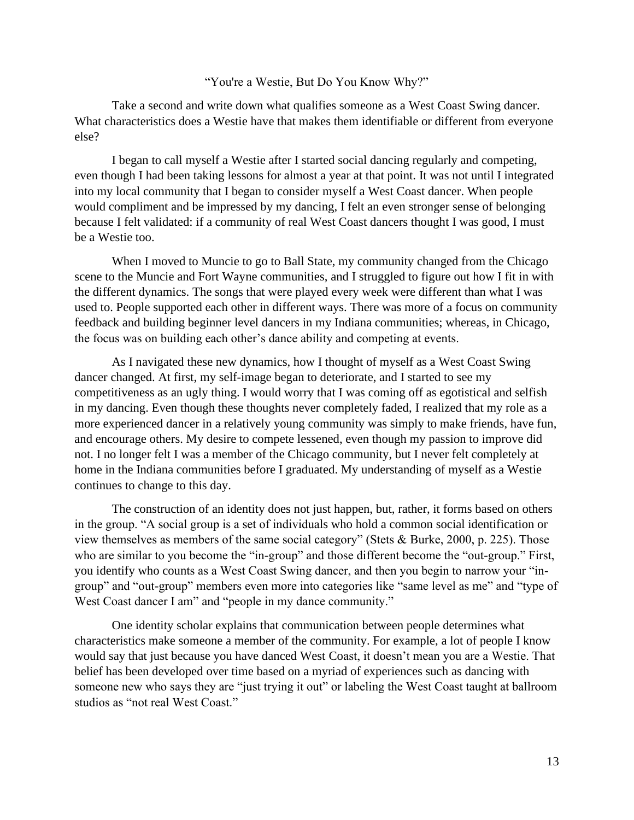#### "You're a Westie, But Do You Know Why?"

Take a second and write down what qualifies someone as a West Coast Swing dancer. What characteristics does a Westie have that makes them identifiable or different from everyone else?

I began to call myself a Westie after I started social dancing regularly and competing, even though I had been taking lessons for almost a year at that point. It was not until I integrated into my local community that I began to consider myself a West Coast dancer. When people would compliment and be impressed by my dancing, I felt an even stronger sense of belonging because I felt validated: if a community of real West Coast dancers thought I was good, I must be a Westie too.

When I moved to Muncie to go to Ball State, my community changed from the Chicago scene to the Muncie and Fort Wayne communities, and I struggled to figure out how I fit in with the different dynamics. The songs that were played every week were different than what I was used to. People supported each other in different ways. There was more of a focus on community feedback and building beginner level dancers in my Indiana communities; whereas, in Chicago, the focus was on building each other's dance ability and competing at events.

As I navigated these new dynamics, how I thought of myself as a West Coast Swing dancer changed. At first, my self-image began to deteriorate, and I started to see my competitiveness as an ugly thing. I would worry that I was coming off as egotistical and selfish in my dancing. Even though these thoughts never completely faded, I realized that my role as a more experienced dancer in a relatively young community was simply to make friends, have fun, and encourage others. My desire to compete lessened, even though my passion to improve did not. I no longer felt I was a member of the Chicago community, but I never felt completely at home in the Indiana communities before I graduated. My understanding of myself as a Westie continues to change to this day.

The construction of an identity does not just happen, but, rather, it forms based on others in the group. "A social group is a set of individuals who hold a common social identification or view themselves as members of the same social category" (Stets & Burke, 2000, p. 225). Those who are similar to you become the "in-group" and those different become the "out-group." First, you identify who counts as a West Coast Swing dancer, and then you begin to narrow your "ingroup" and "out-group" members even more into categories like "same level as me" and "type of West Coast dancer I am" and "people in my dance community."

One identity scholar explains that communication between people determines what characteristics make someone a member of the community. For example, a lot of people I know would say that just because you have danced West Coast, it doesn't mean you are a Westie. That belief has been developed over time based on a myriad of experiences such as dancing with someone new who says they are "just trying it out" or labeling the West Coast taught at ballroom studios as "not real West Coast."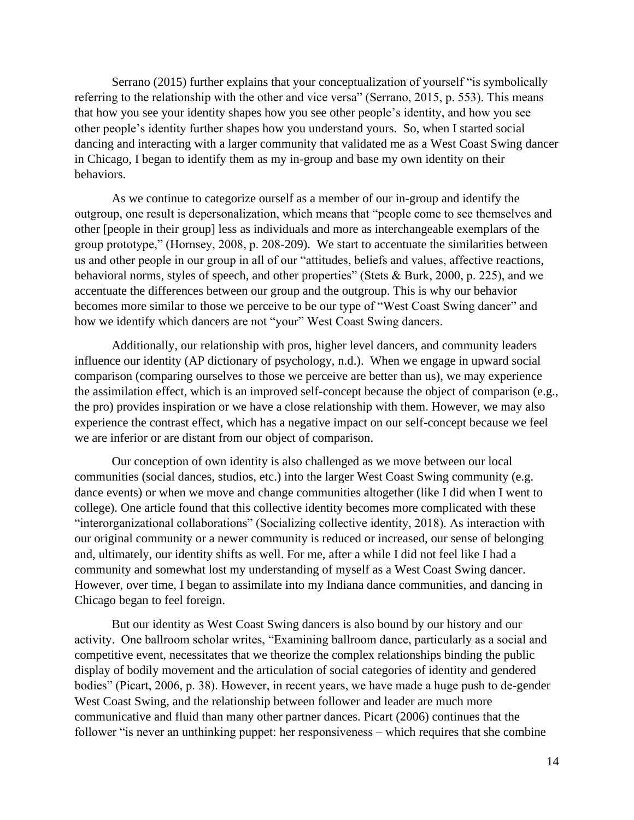Serrano (2015) further explains that your conceptualization of yourself "is symbolically referring to the relationship with the other and vice versa" (Serrano, 2015, p. 553). This means that how you see your identity shapes how you see other people's identity, and how you see other people's identity further shapes how you understand yours. So, when I started social dancing and interacting with a larger community that validated me as a West Coast Swing dancer in Chicago, I began to identify them as my in-group and base my own identity on their behaviors.

As we continue to categorize ourself as a member of our in-group and identify the outgroup, one result is depersonalization, which means that "people come to see themselves and other [people in their group] less as individuals and more as interchangeable exemplars of the group prototype," (Hornsey, 2008, p. 208-209). We start to accentuate the similarities between us and other people in our group in all of our "attitudes, beliefs and values, affective reactions, behavioral norms, styles of speech, and other properties" (Stets & Burk, 2000, p. 225), and we accentuate the differences between our group and the outgroup. This is why our behavior becomes more similar to those we perceive to be our type of "West Coast Swing dancer" and how we identify which dancers are not "your" West Coast Swing dancers.

Additionally, our relationship with pros, higher level dancers, and community leaders influence our identity (AP dictionary of psychology, n.d.). When we engage in upward social comparison (comparing ourselves to those we perceive are better than us), we may experience the assimilation effect, which is an improved self-concept because the object of comparison (e.g., the pro) provides inspiration or we have a close relationship with them. However, we may also experience the contrast effect, which has a negative impact on our self-concept because we feel we are inferior or are distant from our object of comparison.

Our conception of own identity is also challenged as we move between our local communities (social dances, studios, etc.) into the larger West Coast Swing community (e.g. dance events) or when we move and change communities altogether (like I did when I went to college). One article found that this collective identity becomes more complicated with these "interorganizational collaborations" (Socializing collective identity, 2018). As interaction with our original community or a newer community is reduced or increased, our sense of belonging and, ultimately, our identity shifts as well. For me, after a while I did not feel like I had a community and somewhat lost my understanding of myself as a West Coast Swing dancer. However, over time, I began to assimilate into my Indiana dance communities, and dancing in Chicago began to feel foreign.

But our identity as West Coast Swing dancers is also bound by our history and our activity. One ballroom scholar writes, "Examining ballroom dance, particularly as a social and competitive event, necessitates that we theorize the complex relationships binding the public display of bodily movement and the articulation of social categories of identity and gendered bodies" (Picart, 2006, p. 38). However, in recent years, we have made a huge push to de-gender West Coast Swing, and the relationship between follower and leader are much more communicative and fluid than many other partner dances. Picart (2006) continues that the follower "is never an unthinking puppet: her responsiveness – which requires that she combine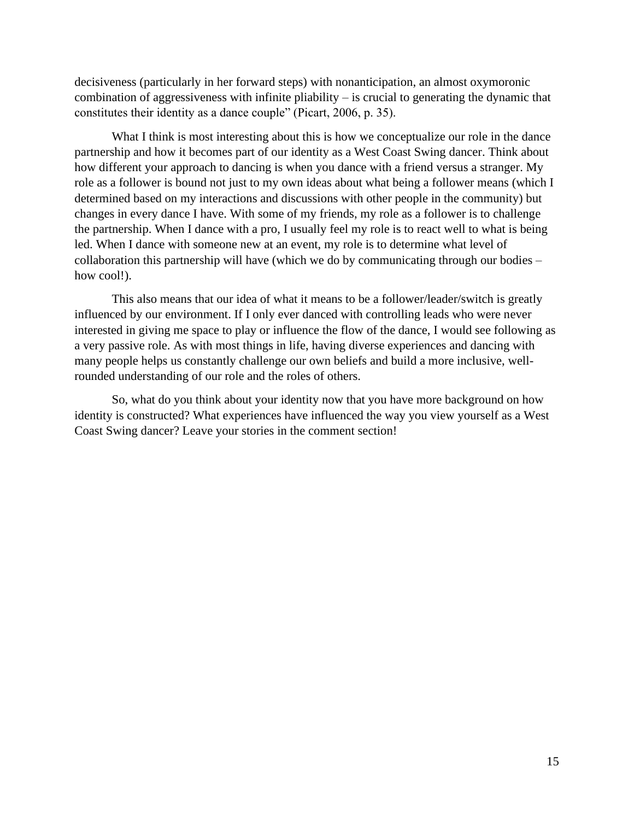decisiveness (particularly in her forward steps) with nonanticipation, an almost oxymoronic combination of aggressiveness with infinite pliability – is crucial to generating the dynamic that constitutes their identity as a dance couple" (Picart, 2006, p. 35).

What I think is most interesting about this is how we conceptualize our role in the dance partnership and how it becomes part of our identity as a West Coast Swing dancer. Think about how different your approach to dancing is when you dance with a friend versus a stranger. My role as a follower is bound not just to my own ideas about what being a follower means (which I determined based on my interactions and discussions with other people in the community) but changes in every dance I have. With some of my friends, my role as a follower is to challenge the partnership. When I dance with a pro, I usually feel my role is to react well to what is being led. When I dance with someone new at an event, my role is to determine what level of collaboration this partnership will have (which we do by communicating through our bodies – how cool!).

This also means that our idea of what it means to be a follower/leader/switch is greatly influenced by our environment. If I only ever danced with controlling leads who were never interested in giving me space to play or influence the flow of the dance, I would see following as a very passive role. As with most things in life, having diverse experiences and dancing with many people helps us constantly challenge our own beliefs and build a more inclusive, wellrounded understanding of our role and the roles of others.

So, what do you think about your identity now that you have more background on how identity is constructed? What experiences have influenced the way you view yourself as a West Coast Swing dancer? Leave your stories in the comment section!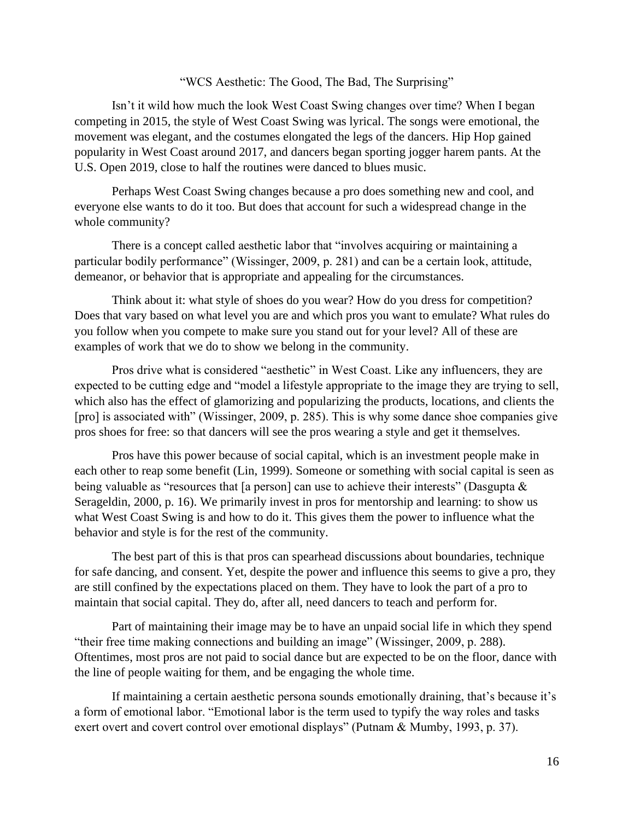#### "WCS Aesthetic: The Good, The Bad, The Surprising"

Isn't it wild how much the look West Coast Swing changes over time? When I began competing in 2015, the style of West Coast Swing was lyrical. The songs were emotional, the movement was elegant, and the costumes elongated the legs of the dancers. Hip Hop gained popularity in West Coast around 2017, and dancers began sporting jogger harem pants. At the U.S. Open 2019, close to half the routines were danced to blues music.

Perhaps West Coast Swing changes because a pro does something new and cool, and everyone else wants to do it too. But does that account for such a widespread change in the whole community?

There is a concept called aesthetic labor that "involves acquiring or maintaining a particular bodily performance" (Wissinger, 2009, p. 281) and can be a certain look, attitude, demeanor, or behavior that is appropriate and appealing for the circumstances.

Think about it: what style of shoes do you wear? How do you dress for competition? Does that vary based on what level you are and which pros you want to emulate? What rules do you follow when you compete to make sure you stand out for your level? All of these are examples of work that we do to show we belong in the community.

Pros drive what is considered "aesthetic" in West Coast. Like any influencers, they are expected to be cutting edge and "model a lifestyle appropriate to the image they are trying to sell, which also has the effect of glamorizing and popularizing the products, locations, and clients the [pro] is associated with" (Wissinger, 2009, p. 285). This is why some dance shoe companies give pros shoes for free: so that dancers will see the pros wearing a style and get it themselves.

Pros have this power because of social capital, which is an investment people make in each other to reap some benefit (Lin, 1999). Someone or something with social capital is seen as being valuable as "resources that [a person] can use to achieve their interests" (Dasgupta & Serageldin, 2000, p. 16). We primarily invest in pros for mentorship and learning: to show us what West Coast Swing is and how to do it. This gives them the power to influence what the behavior and style is for the rest of the community.

The best part of this is that pros can spearhead discussions about boundaries, technique for safe dancing, and consent. Yet, despite the power and influence this seems to give a pro, they are still confined by the expectations placed on them. They have to look the part of a pro to maintain that social capital. They do, after all, need dancers to teach and perform for.

Part of maintaining their image may be to have an unpaid social life in which they spend "their free time making connections and building an image" (Wissinger, 2009, p. 288). Oftentimes, most pros are not paid to social dance but are expected to be on the floor, dance with the line of people waiting for them, and be engaging the whole time.

If maintaining a certain aesthetic persona sounds emotionally draining, that's because it's a form of emotional labor. "Emotional labor is the term used to typify the way roles and tasks exert overt and covert control over emotional displays" (Putnam & Mumby, 1993, p. 37).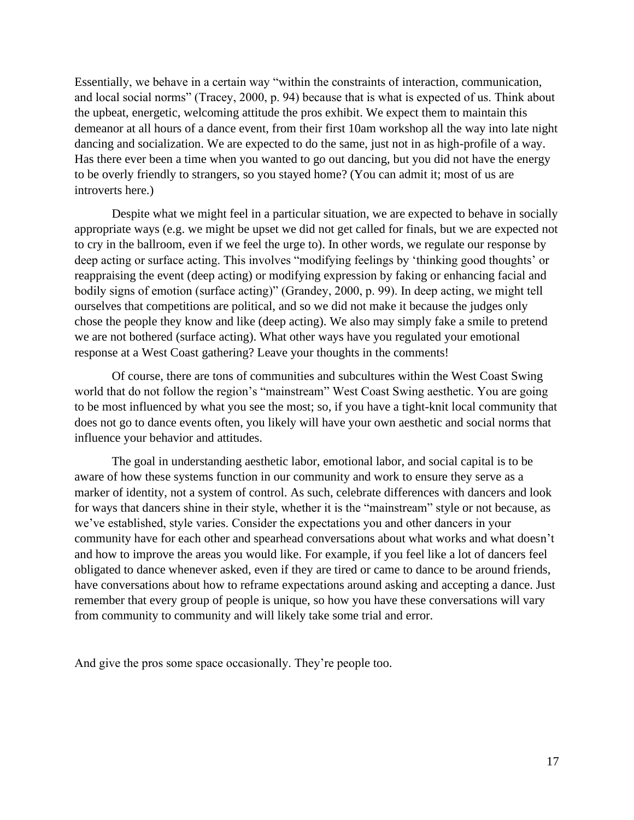Essentially, we behave in a certain way "within the constraints of interaction, communication, and local social norms" (Tracey, 2000, p. 94) because that is what is expected of us. Think about the upbeat, energetic, welcoming attitude the pros exhibit. We expect them to maintain this demeanor at all hours of a dance event, from their first 10am workshop all the way into late night dancing and socialization. We are expected to do the same, just not in as high-profile of a way. Has there ever been a time when you wanted to go out dancing, but you did not have the energy to be overly friendly to strangers, so you stayed home? (You can admit it; most of us are introverts here.)

Despite what we might feel in a particular situation, we are expected to behave in socially appropriate ways (e.g. we might be upset we did not get called for finals, but we are expected not to cry in the ballroom, even if we feel the urge to). In other words, we regulate our response by deep acting or surface acting. This involves "modifying feelings by 'thinking good thoughts' or reappraising the event (deep acting) or modifying expression by faking or enhancing facial and bodily signs of emotion (surface acting)" (Grandey, 2000, p. 99). In deep acting, we might tell ourselves that competitions are political, and so we did not make it because the judges only chose the people they know and like (deep acting). We also may simply fake a smile to pretend we are not bothered (surface acting). What other ways have you regulated your emotional response at a West Coast gathering? Leave your thoughts in the comments!

Of course, there are tons of communities and subcultures within the West Coast Swing world that do not follow the region's "mainstream" West Coast Swing aesthetic. You are going to be most influenced by what you see the most; so, if you have a tight-knit local community that does not go to dance events often, you likely will have your own aesthetic and social norms that influence your behavior and attitudes.

The goal in understanding aesthetic labor, emotional labor, and social capital is to be aware of how these systems function in our community and work to ensure they serve as a marker of identity, not a system of control. As such, celebrate differences with dancers and look for ways that dancers shine in their style, whether it is the "mainstream" style or not because, as we've established, style varies. Consider the expectations you and other dancers in your community have for each other and spearhead conversations about what works and what doesn't and how to improve the areas you would like. For example, if you feel like a lot of dancers feel obligated to dance whenever asked, even if they are tired or came to dance to be around friends, have conversations about how to reframe expectations around asking and accepting a dance. Just remember that every group of people is unique, so how you have these conversations will vary from community to community and will likely take some trial and error.

And give the pros some space occasionally. They're people too.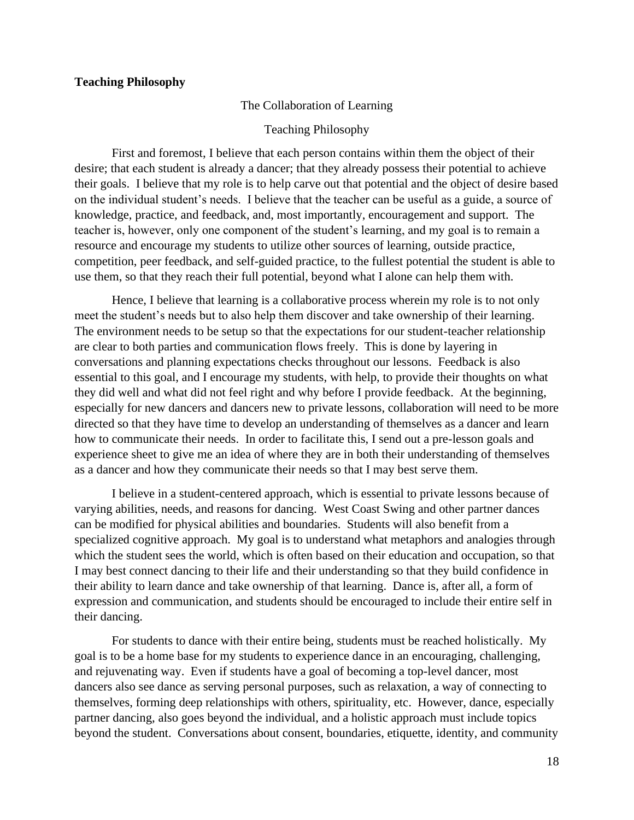#### **Teaching Philosophy**

#### The Collaboration of Learning

#### Teaching Philosophy

First and foremost, I believe that each person contains within them the object of their desire; that each student is already a dancer; that they already possess their potential to achieve their goals. I believe that my role is to help carve out that potential and the object of desire based on the individual student's needs. I believe that the teacher can be useful as a guide, a source of knowledge, practice, and feedback, and, most importantly, encouragement and support. The teacher is, however, only one component of the student's learning, and my goal is to remain a resource and encourage my students to utilize other sources of learning, outside practice, competition, peer feedback, and self-guided practice, to the fullest potential the student is able to use them, so that they reach their full potential, beyond what I alone can help them with.

Hence, I believe that learning is a collaborative process wherein my role is to not only meet the student's needs but to also help them discover and take ownership of their learning. The environment needs to be setup so that the expectations for our student-teacher relationship are clear to both parties and communication flows freely. This is done by layering in conversations and planning expectations checks throughout our lessons. Feedback is also essential to this goal, and I encourage my students, with help, to provide their thoughts on what they did well and what did not feel right and why before I provide feedback. At the beginning, especially for new dancers and dancers new to private lessons, collaboration will need to be more directed so that they have time to develop an understanding of themselves as a dancer and learn how to communicate their needs. In order to facilitate this, I send out a pre-lesson goals and experience sheet to give me an idea of where they are in both their understanding of themselves as a dancer and how they communicate their needs so that I may best serve them.

I believe in a student-centered approach, which is essential to private lessons because of varying abilities, needs, and reasons for dancing. West Coast Swing and other partner dances can be modified for physical abilities and boundaries. Students will also benefit from a specialized cognitive approach. My goal is to understand what metaphors and analogies through which the student sees the world, which is often based on their education and occupation, so that I may best connect dancing to their life and their understanding so that they build confidence in their ability to learn dance and take ownership of that learning. Dance is, after all, a form of expression and communication, and students should be encouraged to include their entire self in their dancing.

For students to dance with their entire being, students must be reached holistically. My goal is to be a home base for my students to experience dance in an encouraging, challenging, and rejuvenating way. Even if students have a goal of becoming a top-level dancer, most dancers also see dance as serving personal purposes, such as relaxation, a way of connecting to themselves, forming deep relationships with others, spirituality, etc. However, dance, especially partner dancing, also goes beyond the individual, and a holistic approach must include topics beyond the student. Conversations about consent, boundaries, etiquette, identity, and community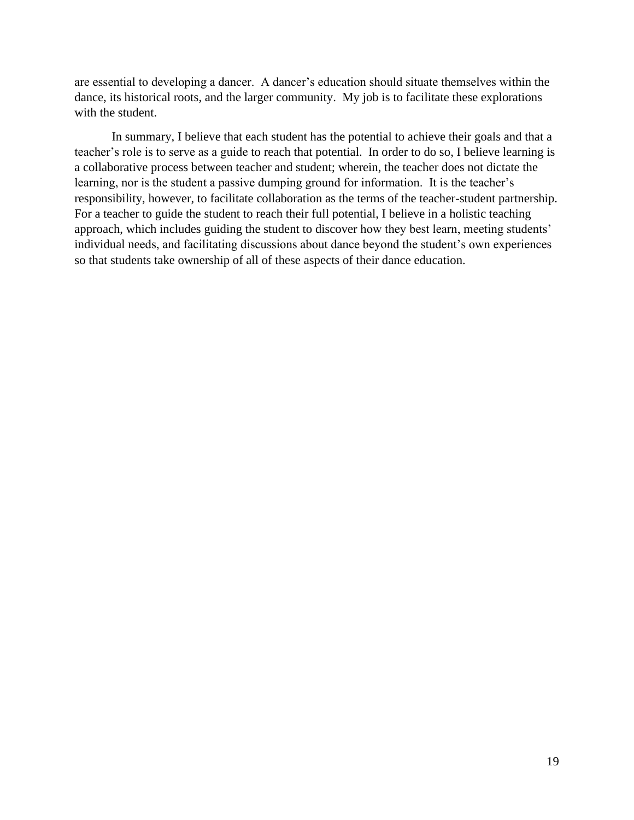are essential to developing a dancer. A dancer's education should situate themselves within the dance, its historical roots, and the larger community. My job is to facilitate these explorations with the student.

In summary, I believe that each student has the potential to achieve their goals and that a teacher's role is to serve as a guide to reach that potential. In order to do so, I believe learning is a collaborative process between teacher and student; wherein, the teacher does not dictate the learning, nor is the student a passive dumping ground for information. It is the teacher's responsibility, however, to facilitate collaboration as the terms of the teacher-student partnership. For a teacher to guide the student to reach their full potential, I believe in a holistic teaching approach, which includes guiding the student to discover how they best learn, meeting students' individual needs, and facilitating discussions about dance beyond the student's own experiences so that students take ownership of all of these aspects of their dance education.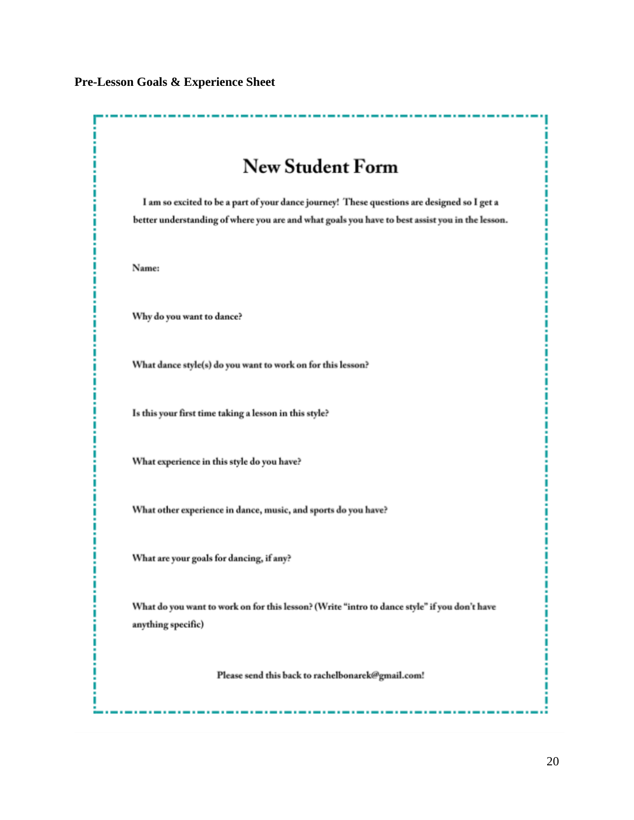#### **Pre-Lesson Goals & Experience Sheet**

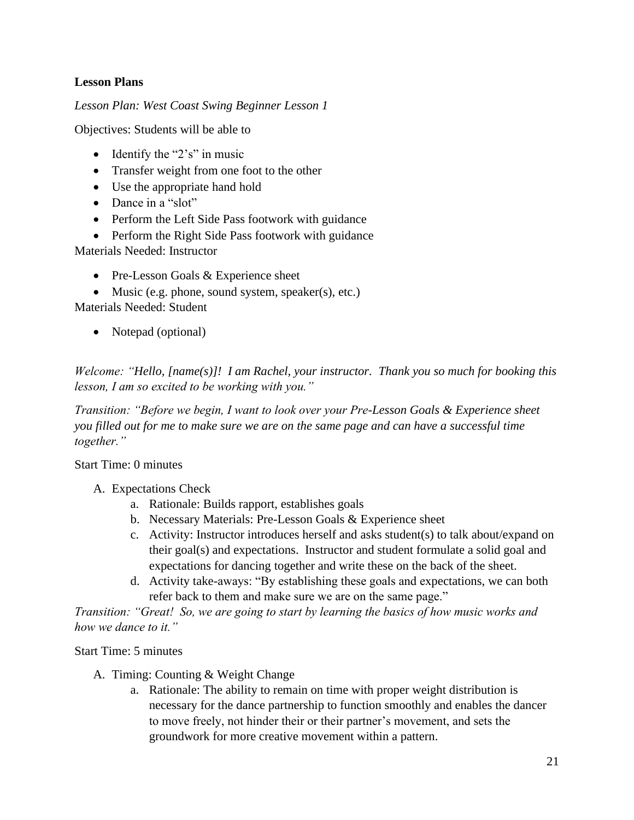## **Lesson Plans**

*Lesson Plan: West Coast Swing Beginner Lesson 1*

Objectives: Students will be able to

- Identify the " $2's$ " in music
- Transfer weight from one foot to the other
- Use the appropriate hand hold
- Dance in a "slot"
- Perform the Left Side Pass footwork with guidance
- Perform the Right Side Pass footwork with guidance

Materials Needed: Instructor

• Pre-Lesson Goals & Experience sheet

• Music (e.g. phone, sound system, speaker(s), etc.) Materials Needed: Student

• Notepad (optional)

*Welcome: "Hello, [name(s)]! I am Rachel, your instructor. Thank you so much for booking this lesson, I am so excited to be working with you."*

*Transition: "Before we begin, I want to look over your Pre-Lesson Goals & Experience sheet you filled out for me to make sure we are on the same page and can have a successful time together."*

Start Time: 0 minutes

- A. Expectations Check
	- a. Rationale: Builds rapport, establishes goals
	- b. Necessary Materials: Pre-Lesson Goals & Experience sheet
	- c. Activity: Instructor introduces herself and asks student(s) to talk about/expand on their goal(s) and expectations. Instructor and student formulate a solid goal and expectations for dancing together and write these on the back of the sheet.
	- d. Activity take-aways: "By establishing these goals and expectations, we can both refer back to them and make sure we are on the same page."

*Transition: "Great! So, we are going to start by learning the basics of how music works and how we dance to it."*

Start Time: 5 minutes

- A. Timing: Counting & Weight Change
	- a. Rationale: The ability to remain on time with proper weight distribution is necessary for the dance partnership to function smoothly and enables the dancer to move freely, not hinder their or their partner's movement, and sets the groundwork for more creative movement within a pattern.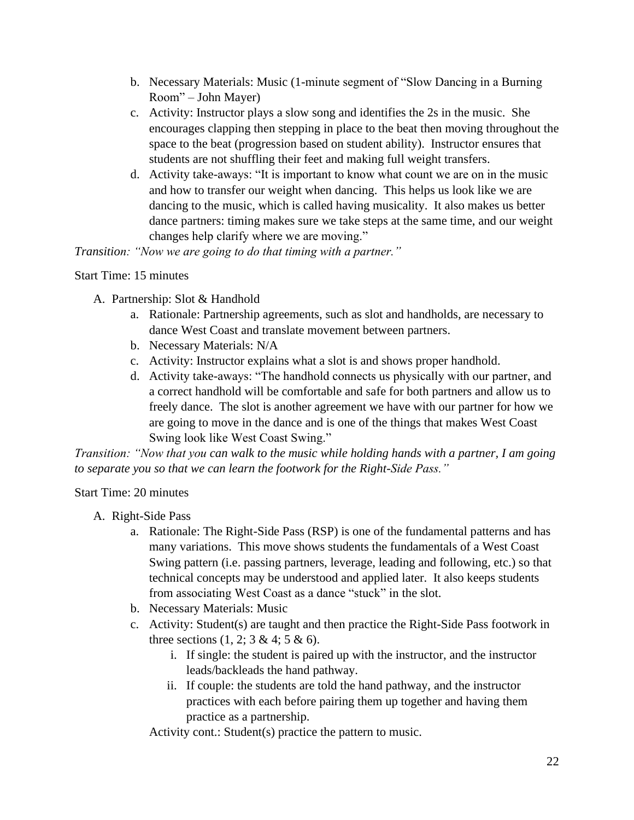- b. Necessary Materials: Music (1-minute segment of "Slow Dancing in a Burning Room" – John Mayer)
- c. Activity: Instructor plays a slow song and identifies the 2s in the music. She encourages clapping then stepping in place to the beat then moving throughout the space to the beat (progression based on student ability). Instructor ensures that students are not shuffling their feet and making full weight transfers.
- d. Activity take-aways: "It is important to know what count we are on in the music and how to transfer our weight when dancing. This helps us look like we are dancing to the music, which is called having musicality. It also makes us better dance partners: timing makes sure we take steps at the same time, and our weight changes help clarify where we are moving."

*Transition: "Now we are going to do that timing with a partner."*

### Start Time: 15 minutes

- A. Partnership: Slot & Handhold
	- a. Rationale: Partnership agreements, such as slot and handholds, are necessary to dance West Coast and translate movement between partners.
	- b. Necessary Materials: N/A
	- c. Activity: Instructor explains what a slot is and shows proper handhold.
	- d. Activity take-aways: "The handhold connects us physically with our partner, and a correct handhold will be comfortable and safe for both partners and allow us to freely dance. The slot is another agreement we have with our partner for how we are going to move in the dance and is one of the things that makes West Coast Swing look like West Coast Swing."

*Transition: "Now that you can walk to the music while holding hands with a partner, I am going to separate you so that we can learn the footwork for the Right-Side Pass."*

## Start Time: 20 minutes

- A. Right-Side Pass
	- a. Rationale: The Right-Side Pass (RSP) is one of the fundamental patterns and has many variations. This move shows students the fundamentals of a West Coast Swing pattern (i.e. passing partners, leverage, leading and following, etc.) so that technical concepts may be understood and applied later. It also keeps students from associating West Coast as a dance "stuck" in the slot.
	- b. Necessary Materials: Music
	- c. Activity: Student(s) are taught and then practice the Right-Side Pass footwork in three sections  $(1, 2; 3 \& 4; 5 \& 6)$ .
		- i. If single: the student is paired up with the instructor, and the instructor leads/backleads the hand pathway.
		- ii. If couple: the students are told the hand pathway, and the instructor practices with each before pairing them up together and having them practice as a partnership.

Activity cont.: Student(s) practice the pattern to music.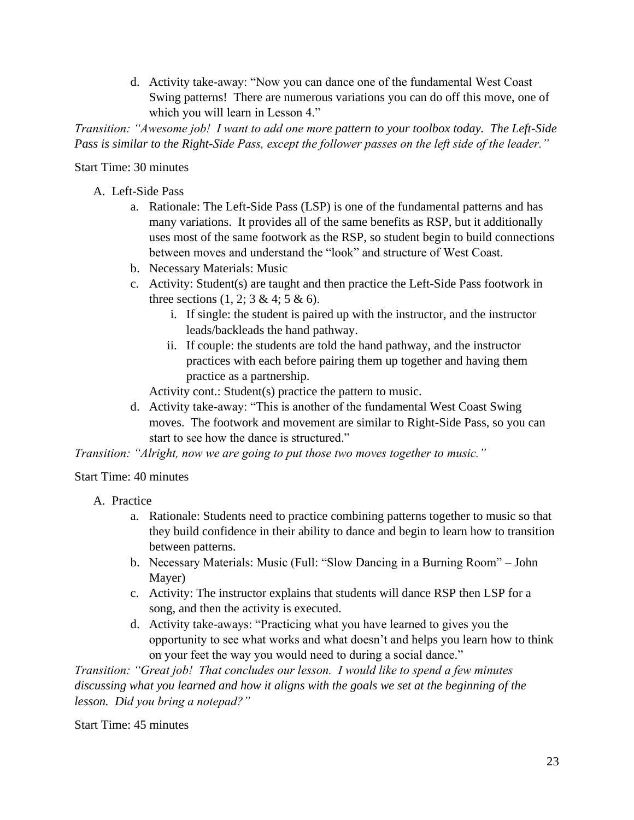d. Activity take-away: "Now you can dance one of the fundamental West Coast Swing patterns! There are numerous variations you can do off this move, one of which you will learn in Lesson 4."

*Transition: "Awesome job! I want to add one more pattern to your toolbox today. The Left-Side Pass is similar to the Right-Side Pass, except the follower passes on the left side of the leader."*

Start Time: 30 minutes

- A. Left-Side Pass
	- a. Rationale: The Left-Side Pass (LSP) is one of the fundamental patterns and has many variations. It provides all of the same benefits as RSP, but it additionally uses most of the same footwork as the RSP, so student begin to build connections between moves and understand the "look" and structure of West Coast.
	- b. Necessary Materials: Music
	- c. Activity: Student(s) are taught and then practice the Left-Side Pass footwork in three sections  $(1, 2; 3 \& 4; 5 \& 6)$ .
		- i. If single: the student is paired up with the instructor, and the instructor leads/backleads the hand pathway.
		- ii. If couple: the students are told the hand pathway, and the instructor practices with each before pairing them up together and having them practice as a partnership.

Activity cont.: Student(s) practice the pattern to music.

d. Activity take-away: "This is another of the fundamental West Coast Swing moves. The footwork and movement are similar to Right-Side Pass, so you can start to see how the dance is structured."

*Transition: "Alright, now we are going to put those two moves together to music."*

Start Time: 40 minutes

- A. Practice
	- a. Rationale: Students need to practice combining patterns together to music so that they build confidence in their ability to dance and begin to learn how to transition between patterns.
	- b. Necessary Materials: Music (Full: "Slow Dancing in a Burning Room" John Mayer)
	- c. Activity: The instructor explains that students will dance RSP then LSP for a song, and then the activity is executed.
	- d. Activity take-aways: "Practicing what you have learned to gives you the opportunity to see what works and what doesn't and helps you learn how to think on your feet the way you would need to during a social dance."

*Transition: "Great job! That concludes our lesson. I would like to spend a few minutes discussing what you learned and how it aligns with the goals we set at the beginning of the lesson. Did you bring a notepad?"*

Start Time: 45 minutes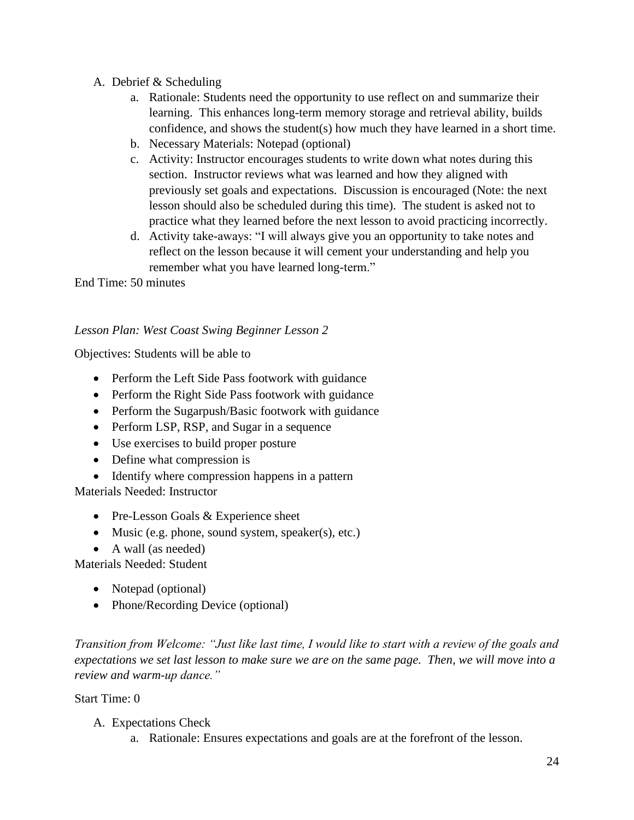- A. Debrief & Scheduling
	- a. Rationale: Students need the opportunity to use reflect on and summarize their learning. This enhances long-term memory storage and retrieval ability, builds confidence, and shows the student(s) how much they have learned in a short time.
	- b. Necessary Materials: Notepad (optional)
	- c. Activity: Instructor encourages students to write down what notes during this section. Instructor reviews what was learned and how they aligned with previously set goals and expectations. Discussion is encouraged (Note: the next lesson should also be scheduled during this time). The student is asked not to practice what they learned before the next lesson to avoid practicing incorrectly.
	- d. Activity take-aways: "I will always give you an opportunity to take notes and reflect on the lesson because it will cement your understanding and help you remember what you have learned long-term."

End Time: 50 minutes

## *Lesson Plan: West Coast Swing Beginner Lesson 2*

Objectives: Students will be able to

- Perform the Left Side Pass footwork with guidance
- Perform the Right Side Pass footwork with guidance
- Perform the Sugarpush/Basic footwork with guidance
- Perform LSP, RSP, and Sugar in a sequence
- Use exercises to build proper posture
- Define what compression is
- Identify where compression happens in a pattern

Materials Needed: Instructor

- Pre-Lesson Goals & Experience sheet
- Music (e.g. phone, sound system, speaker(s), etc.)
- A wall (as needed)

Materials Needed: Student

- Notepad (optional)
- Phone/Recording Device (optional)

*Transition from Welcome: "Just like last time, I would like to start with a review of the goals and expectations we set last lesson to make sure we are on the same page. Then, we will move into a review and warm-up dance."* 

Start Time: 0

- A. Expectations Check
	- a. Rationale: Ensures expectations and goals are at the forefront of the lesson.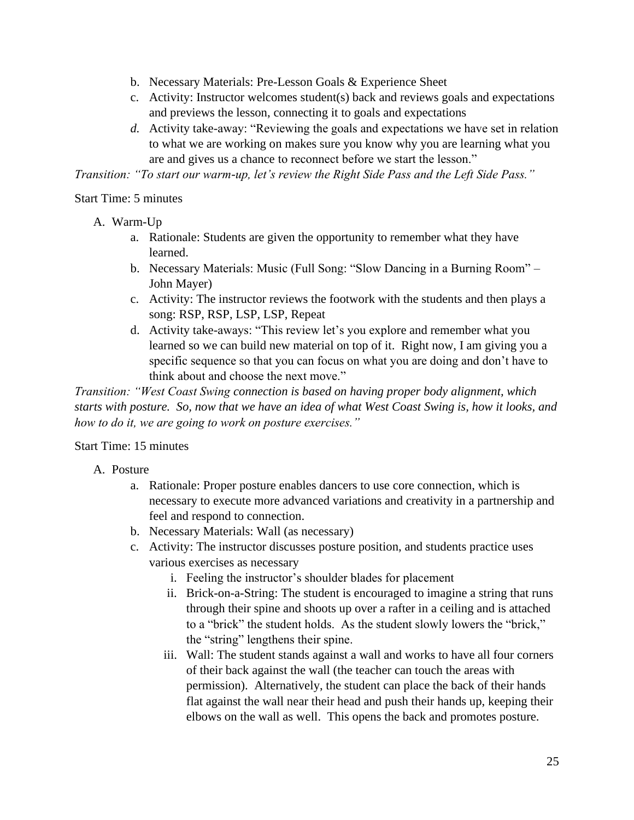- b. Necessary Materials: Pre-Lesson Goals & Experience Sheet
- c. Activity: Instructor welcomes student(s) back and reviews goals and expectations and previews the lesson, connecting it to goals and expectations
- *d.* Activity take-away: "Reviewing the goals and expectations we have set in relation to what we are working on makes sure you know why you are learning what you are and gives us a chance to reconnect before we start the lesson."

*Transition: "To start our warm-up, let's review the Right Side Pass and the Left Side Pass."*

### Start Time: 5 minutes

- A. Warm-Up
	- a. Rationale: Students are given the opportunity to remember what they have learned.
	- b. Necessary Materials: Music (Full Song: "Slow Dancing in a Burning Room" John Mayer)
	- c. Activity: The instructor reviews the footwork with the students and then plays a song: RSP, RSP, LSP, LSP, Repeat
	- d. Activity take-aways: "This review let's you explore and remember what you learned so we can build new material on top of it. Right now, I am giving you a specific sequence so that you can focus on what you are doing and don't have to think about and choose the next move."

*Transition: "West Coast Swing connection is based on having proper body alignment, which starts with posture. So, now that we have an idea of what West Coast Swing is, how it looks, and how to do it, we are going to work on posture exercises."*

### Start Time: 15 minutes

- A. Posture
	- a. Rationale: Proper posture enables dancers to use core connection, which is necessary to execute more advanced variations and creativity in a partnership and feel and respond to connection.
	- b. Necessary Materials: Wall (as necessary)
	- c. Activity: The instructor discusses posture position, and students practice uses various exercises as necessary
		- i. Feeling the instructor's shoulder blades for placement
		- ii. Brick-on-a-String: The student is encouraged to imagine a string that runs through their spine and shoots up over a rafter in a ceiling and is attached to a "brick" the student holds. As the student slowly lowers the "brick," the "string" lengthens their spine.
		- iii. Wall: The student stands against a wall and works to have all four corners of their back against the wall (the teacher can touch the areas with permission). Alternatively, the student can place the back of their hands flat against the wall near their head and push their hands up, keeping their elbows on the wall as well. This opens the back and promotes posture.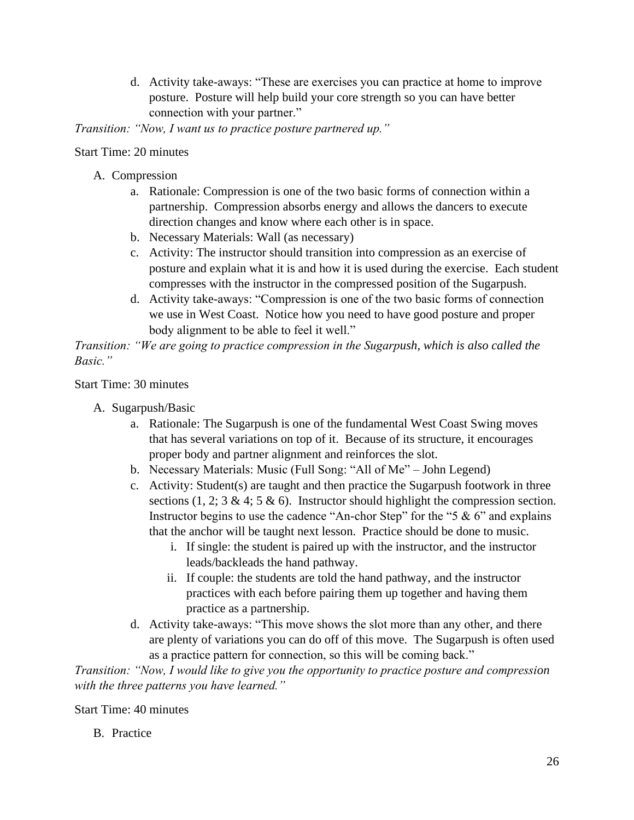d. Activity take-aways: "These are exercises you can practice at home to improve posture. Posture will help build your core strength so you can have better connection with your partner."

*Transition: "Now, I want us to practice posture partnered up."*

### Start Time: 20 minutes

- A. Compression
	- a. Rationale: Compression is one of the two basic forms of connection within a partnership. Compression absorbs energy and allows the dancers to execute direction changes and know where each other is in space.
	- b. Necessary Materials: Wall (as necessary)
	- c. Activity: The instructor should transition into compression as an exercise of posture and explain what it is and how it is used during the exercise. Each student compresses with the instructor in the compressed position of the Sugarpush.
	- d. Activity take-aways: "Compression is one of the two basic forms of connection we use in West Coast. Notice how you need to have good posture and proper body alignment to be able to feel it well."

*Transition: "We are going to practice compression in the Sugarpush, which is also called the Basic."*

### Start Time: 30 minutes

- A. Sugarpush/Basic
	- a. Rationale: The Sugarpush is one of the fundamental West Coast Swing moves that has several variations on top of it. Because of its structure, it encourages proper body and partner alignment and reinforces the slot.
	- b. Necessary Materials: Music (Full Song: "All of Me" John Legend)
	- c. Activity: Student(s) are taught and then practice the Sugarpush footwork in three sections (1, 2; 3 & 4; 5 & 6). Instructor should highlight the compression section. Instructor begins to use the cadence "An-chor Step" for the "5  $\&$  6" and explains that the anchor will be taught next lesson. Practice should be done to music.
		- i. If single: the student is paired up with the instructor, and the instructor leads/backleads the hand pathway.
		- ii. If couple: the students are told the hand pathway, and the instructor practices with each before pairing them up together and having them practice as a partnership.
	- d. Activity take-aways: "This move shows the slot more than any other, and there are plenty of variations you can do off of this move. The Sugarpush is often used as a practice pattern for connection, so this will be coming back."

*Transition: "Now, I would like to give you the opportunity to practice posture and compression with the three patterns you have learned."*

### Start Time: 40 minutes

B. Practice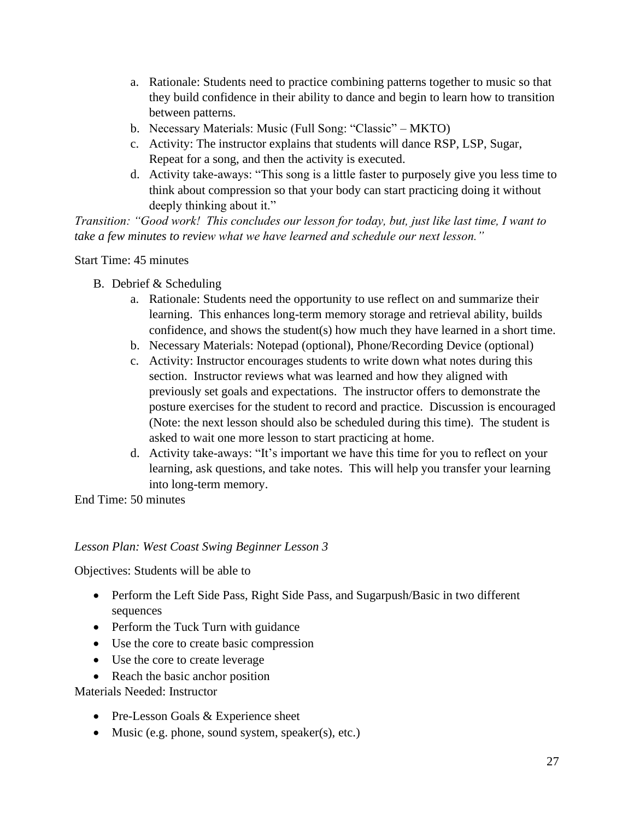- a. Rationale: Students need to practice combining patterns together to music so that they build confidence in their ability to dance and begin to learn how to transition between patterns.
- b. Necessary Materials: Music (Full Song: "Classic" MKTO)
- c. Activity: The instructor explains that students will dance RSP, LSP, Sugar, Repeat for a song, and then the activity is executed.
- d. Activity take-aways: "This song is a little faster to purposely give you less time to think about compression so that your body can start practicing doing it without deeply thinking about it."

*Transition: "Good work! This concludes our lesson for today, but, just like last time, I want to take a few minutes to review what we have learned and schedule our next lesson."*

Start Time: 45 minutes

- B. Debrief & Scheduling
	- a. Rationale: Students need the opportunity to use reflect on and summarize their learning. This enhances long-term memory storage and retrieval ability, builds confidence, and shows the student(s) how much they have learned in a short time.
	- b. Necessary Materials: Notepad (optional), Phone/Recording Device (optional)
	- c. Activity: Instructor encourages students to write down what notes during this section. Instructor reviews what was learned and how they aligned with previously set goals and expectations. The instructor offers to demonstrate the posture exercises for the student to record and practice. Discussion is encouraged (Note: the next lesson should also be scheduled during this time). The student is asked to wait one more lesson to start practicing at home.
	- d. Activity take-aways: "It's important we have this time for you to reflect on your learning, ask questions, and take notes. This will help you transfer your learning into long-term memory.

End Time: 50 minutes

## *Lesson Plan: West Coast Swing Beginner Lesson 3*

Objectives: Students will be able to

- Perform the Left Side Pass, Right Side Pass, and Sugarpush/Basic in two different sequences
- Perform the Tuck Turn with guidance
- Use the core to create basic compression
- Use the core to create leverage
- Reach the basic anchor position

Materials Needed: Instructor

- Pre-Lesson Goals & Experience sheet
- Music (e.g. phone, sound system, speaker(s), etc.)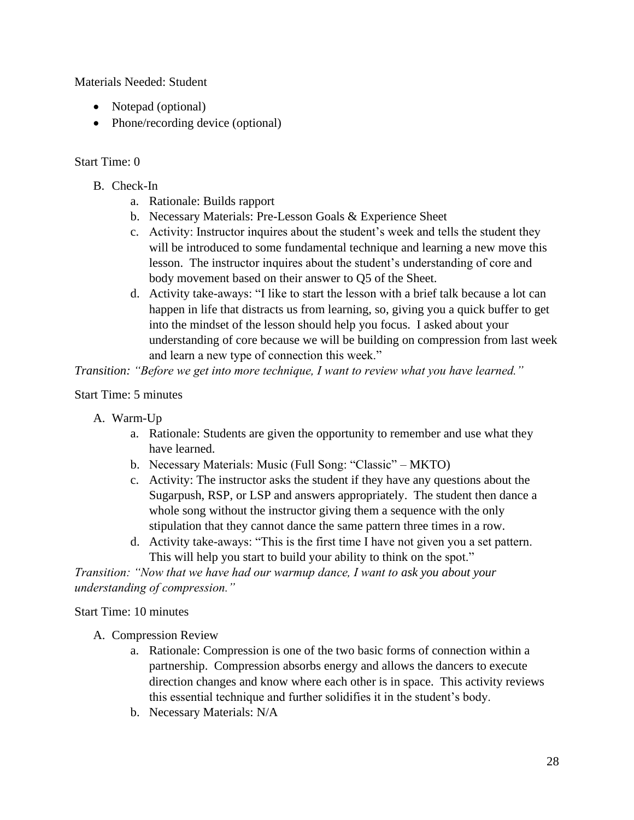Materials Needed: Student

- Notepad (optional)
- Phone/recording device (optional)

## Start Time: 0

- B. Check-In
	- a. Rationale: Builds rapport
	- b. Necessary Materials: Pre-Lesson Goals & Experience Sheet
	- c. Activity: Instructor inquires about the student's week and tells the student they will be introduced to some fundamental technique and learning a new move this lesson. The instructor inquires about the student's understanding of core and body movement based on their answer to Q5 of the Sheet.
	- d. Activity take-aways: "I like to start the lesson with a brief talk because a lot can happen in life that distracts us from learning, so, giving you a quick buffer to get into the mindset of the lesson should help you focus. I asked about your understanding of core because we will be building on compression from last week and learn a new type of connection this week."

*Transition: "Before we get into more technique, I want to review what you have learned."*

Start Time: 5 minutes

- A. Warm-Up
	- a. Rationale: Students are given the opportunity to remember and use what they have learned.
	- b. Necessary Materials: Music (Full Song: "Classic" MKTO)
	- c. Activity: The instructor asks the student if they have any questions about the Sugarpush, RSP, or LSP and answers appropriately. The student then dance a whole song without the instructor giving them a sequence with the only stipulation that they cannot dance the same pattern three times in a row.
	- d. Activity take-aways: "This is the first time I have not given you a set pattern. This will help you start to build your ability to think on the spot."

*Transition: "Now that we have had our warmup dance, I want to ask you about your understanding of compression."*

Start Time: 10 minutes

- A. Compression Review
	- a. Rationale: Compression is one of the two basic forms of connection within a partnership. Compression absorbs energy and allows the dancers to execute direction changes and know where each other is in space. This activity reviews this essential technique and further solidifies it in the student's body.
	- b. Necessary Materials: N/A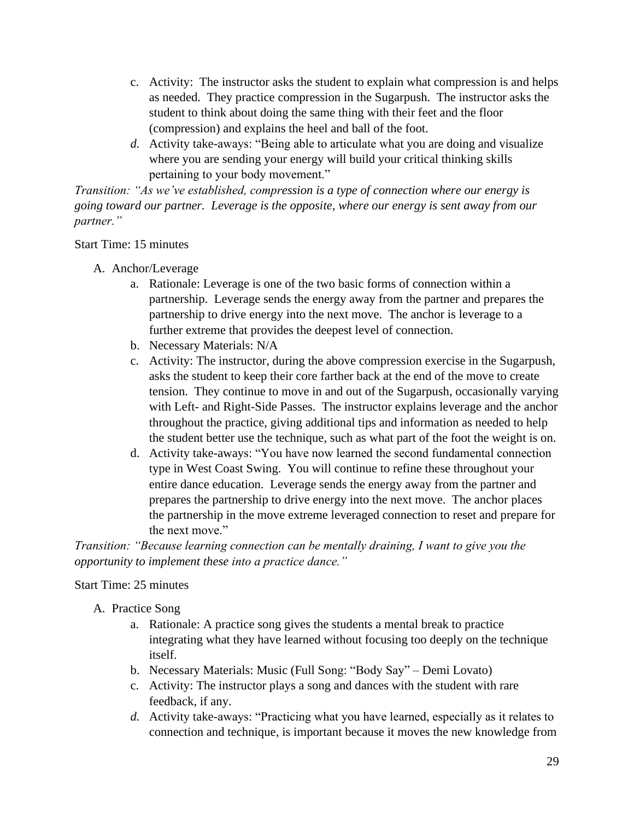- c. Activity: The instructor asks the student to explain what compression is and helps as needed. They practice compression in the Sugarpush. The instructor asks the student to think about doing the same thing with their feet and the floor (compression) and explains the heel and ball of the foot.
- *d.* Activity take-aways: "Being able to articulate what you are doing and visualize where you are sending your energy will build your critical thinking skills pertaining to your body movement."

*Transition: "As we've established, compression is a type of connection where our energy is going toward our partner. Leverage is the opposite, where our energy is sent away from our partner."*

# Start Time: 15 minutes

- A. Anchor/Leverage
	- a. Rationale: Leverage is one of the two basic forms of connection within a partnership. Leverage sends the energy away from the partner and prepares the partnership to drive energy into the next move. The anchor is leverage to a further extreme that provides the deepest level of connection.
	- b. Necessary Materials: N/A
	- c. Activity: The instructor, during the above compression exercise in the Sugarpush, asks the student to keep their core farther back at the end of the move to create tension. They continue to move in and out of the Sugarpush, occasionally varying with Left- and Right-Side Passes. The instructor explains leverage and the anchor throughout the practice, giving additional tips and information as needed to help the student better use the technique, such as what part of the foot the weight is on.
	- d. Activity take-aways: "You have now learned the second fundamental connection type in West Coast Swing. You will continue to refine these throughout your entire dance education. Leverage sends the energy away from the partner and prepares the partnership to drive energy into the next move. The anchor places the partnership in the move extreme leveraged connection to reset and prepare for the next move."

*Transition: "Because learning connection can be mentally draining, I want to give you the opportunity to implement these into a practice dance."*

## Start Time: 25 minutes

- A. Practice Song
	- a. Rationale: A practice song gives the students a mental break to practice integrating what they have learned without focusing too deeply on the technique itself.
	- b. Necessary Materials: Music (Full Song: "Body Say" Demi Lovato)
	- c. Activity: The instructor plays a song and dances with the student with rare feedback, if any.
	- *d.* Activity take-aways: "Practicing what you have learned, especially as it relates to connection and technique, is important because it moves the new knowledge from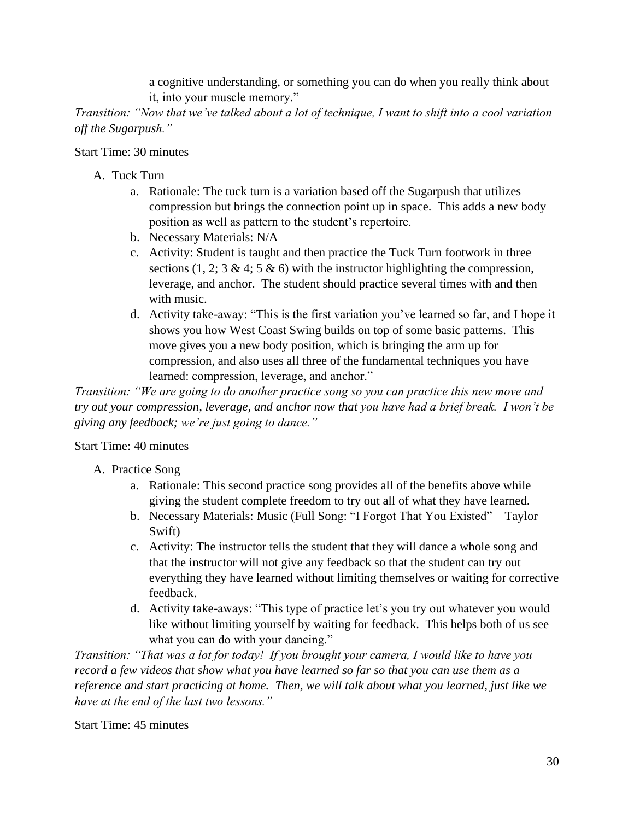a cognitive understanding, or something you can do when you really think about it, into your muscle memory."

*Transition: "Now that we've talked about a lot of technique, I want to shift into a cool variation off the Sugarpush."*

## Start Time: 30 minutes

- A. Tuck Turn
	- a. Rationale: The tuck turn is a variation based off the Sugarpush that utilizes compression but brings the connection point up in space. This adds a new body position as well as pattern to the student's repertoire.
	- b. Necessary Materials: N/A
	- c. Activity: Student is taught and then practice the Tuck Turn footwork in three sections  $(1, 2; 3 \& 4; 5 \& 6)$  with the instructor highlighting the compression, leverage, and anchor. The student should practice several times with and then with music.
	- d. Activity take-away: "This is the first variation you've learned so far, and I hope it shows you how West Coast Swing builds on top of some basic patterns. This move gives you a new body position, which is bringing the arm up for compression, and also uses all three of the fundamental techniques you have learned: compression, leverage, and anchor."

*Transition: "We are going to do another practice song so you can practice this new move and try out your compression, leverage, and anchor now that you have had a brief break. I won't be giving any feedback; we're just going to dance."*

## Start Time: 40 minutes

- A. Practice Song
	- a. Rationale: This second practice song provides all of the benefits above while giving the student complete freedom to try out all of what they have learned.
	- b. Necessary Materials: Music (Full Song: "I Forgot That You Existed" Taylor Swift)
	- c. Activity: The instructor tells the student that they will dance a whole song and that the instructor will not give any feedback so that the student can try out everything they have learned without limiting themselves or waiting for corrective feedback.
	- d. Activity take-aways: "This type of practice let's you try out whatever you would like without limiting yourself by waiting for feedback. This helps both of us see what you can do with your dancing."

*Transition: "That was a lot for today! If you brought your camera, I would like to have you record a few videos that show what you have learned so far so that you can use them as a reference and start practicing at home. Then, we will talk about what you learned, just like we have at the end of the last two lessons."*

Start Time: 45 minutes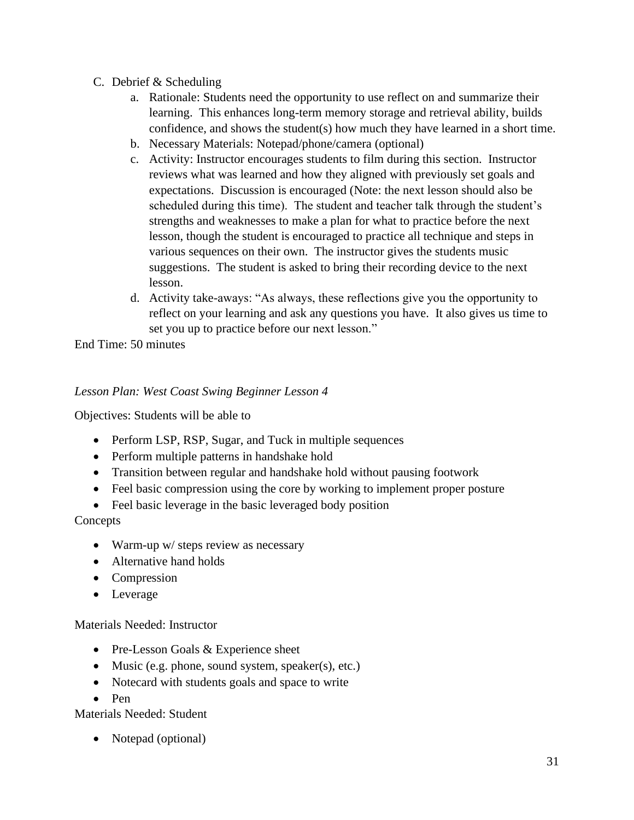- C. Debrief & Scheduling
	- a. Rationale: Students need the opportunity to use reflect on and summarize their learning. This enhances long-term memory storage and retrieval ability, builds confidence, and shows the student(s) how much they have learned in a short time.
	- b. Necessary Materials: Notepad/phone/camera (optional)
	- c. Activity: Instructor encourages students to film during this section. Instructor reviews what was learned and how they aligned with previously set goals and expectations. Discussion is encouraged (Note: the next lesson should also be scheduled during this time). The student and teacher talk through the student's strengths and weaknesses to make a plan for what to practice before the next lesson, though the student is encouraged to practice all technique and steps in various sequences on their own. The instructor gives the students music suggestions. The student is asked to bring their recording device to the next lesson.
	- d. Activity take-aways: "As always, these reflections give you the opportunity to reflect on your learning and ask any questions you have. It also gives us time to set you up to practice before our next lesson."

End Time: 50 minutes

# *Lesson Plan: West Coast Swing Beginner Lesson 4*

Objectives: Students will be able to

- Perform LSP, RSP, Sugar, and Tuck in multiple sequences
- Perform multiple patterns in handshake hold
- Transition between regular and handshake hold without pausing footwork
- Feel basic compression using the core by working to implement proper posture
- Feel basic leverage in the basic leveraged body position

## Concepts

- Warm-up w/ steps review as necessary
- Alternative hand holds
- Compression
- Leverage

## Materials Needed: Instructor

- Pre-Lesson Goals & Experience sheet
- Music (e.g. phone, sound system, speaker(s), etc.)
- Notecard with students goals and space to write
- Pen

## Materials Needed: Student

• Notepad (optional)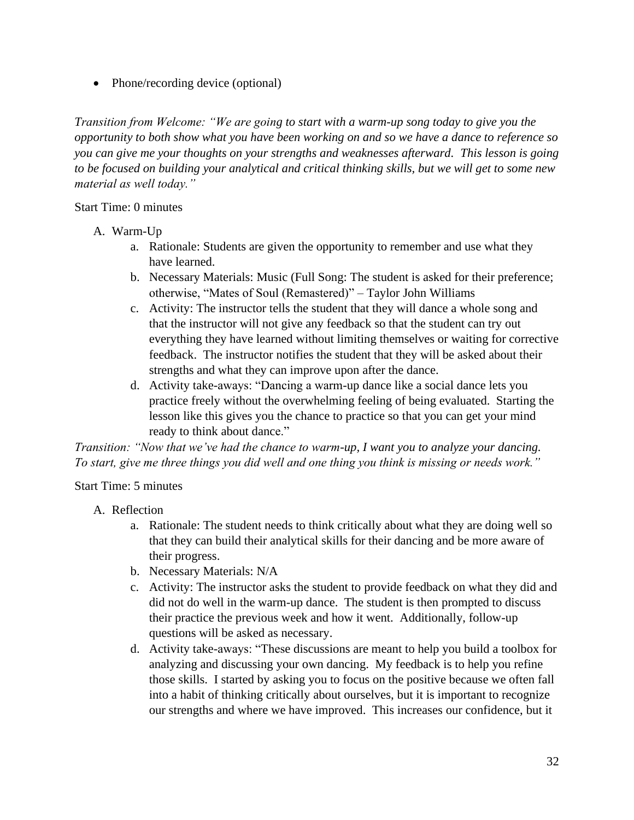• Phone/recording device (optional)

*Transition from Welcome: "We are going to start with a warm-up song today to give you the opportunity to both show what you have been working on and so we have a dance to reference so you can give me your thoughts on your strengths and weaknesses afterward. This lesson is going to be focused on building your analytical and critical thinking skills, but we will get to some new material as well today."*

### Start Time: 0 minutes

- A. Warm-Up
	- a. Rationale: Students are given the opportunity to remember and use what they have learned.
	- b. Necessary Materials: Music (Full Song: The student is asked for their preference; otherwise, "Mates of Soul (Remastered)" – Taylor John Williams
	- c. Activity: The instructor tells the student that they will dance a whole song and that the instructor will not give any feedback so that the student can try out everything they have learned without limiting themselves or waiting for corrective feedback. The instructor notifies the student that they will be asked about their strengths and what they can improve upon after the dance.
	- d. Activity take-aways: "Dancing a warm-up dance like a social dance lets you practice freely without the overwhelming feeling of being evaluated. Starting the lesson like this gives you the chance to practice so that you can get your mind ready to think about dance."

*Transition: "Now that we've had the chance to warm-up, I want you to analyze your dancing. To start, give me three things you did well and one thing you think is missing or needs work."*

## Start Time: 5 minutes

- A. Reflection
	- a. Rationale: The student needs to think critically about what they are doing well so that they can build their analytical skills for their dancing and be more aware of their progress.
	- b. Necessary Materials: N/A
	- c. Activity: The instructor asks the student to provide feedback on what they did and did not do well in the warm-up dance. The student is then prompted to discuss their practice the previous week and how it went. Additionally, follow-up questions will be asked as necessary.
	- d. Activity take-aways: "These discussions are meant to help you build a toolbox for analyzing and discussing your own dancing. My feedback is to help you refine those skills. I started by asking you to focus on the positive because we often fall into a habit of thinking critically about ourselves, but it is important to recognize our strengths and where we have improved. This increases our confidence, but it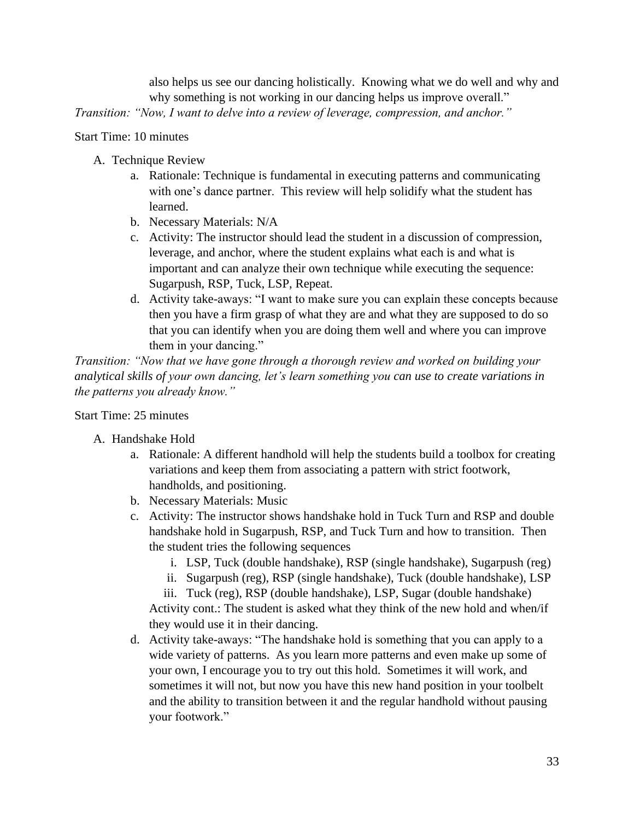also helps us see our dancing holistically. Knowing what we do well and why and why something is not working in our dancing helps us improve overall."

*Transition: "Now, I want to delve into a review of leverage, compression, and anchor."*

Start Time: 10 minutes

- A. Technique Review
	- a. Rationale: Technique is fundamental in executing patterns and communicating with one's dance partner. This review will help solidify what the student has learned.
	- b. Necessary Materials: N/A
	- c. Activity: The instructor should lead the student in a discussion of compression, leverage, and anchor, where the student explains what each is and what is important and can analyze their own technique while executing the sequence: Sugarpush, RSP, Tuck, LSP, Repeat.
	- d. Activity take-aways: "I want to make sure you can explain these concepts because then you have a firm grasp of what they are and what they are supposed to do so that you can identify when you are doing them well and where you can improve them in your dancing."

*Transition: "Now that we have gone through a thorough review and worked on building your analytical skills of your own dancing, let's learn something you can use to create variations in the patterns you already know."*

Start Time: 25 minutes

- A. Handshake Hold
	- a. Rationale: A different handhold will help the students build a toolbox for creating variations and keep them from associating a pattern with strict footwork, handholds, and positioning.
	- b. Necessary Materials: Music
	- c. Activity: The instructor shows handshake hold in Tuck Turn and RSP and double handshake hold in Sugarpush, RSP, and Tuck Turn and how to transition. Then the student tries the following sequences
		- i. LSP, Tuck (double handshake), RSP (single handshake), Sugarpush (reg)
		- ii. Sugarpush (reg), RSP (single handshake), Tuck (double handshake), LSP

iii. Tuck (reg), RSP (double handshake), LSP, Sugar (double handshake) Activity cont.: The student is asked what they think of the new hold and when/if they would use it in their dancing.

d. Activity take-aways: "The handshake hold is something that you can apply to a wide variety of patterns. As you learn more patterns and even make up some of your own, I encourage you to try out this hold. Sometimes it will work, and sometimes it will not, but now you have this new hand position in your toolbelt and the ability to transition between it and the regular handhold without pausing your footwork."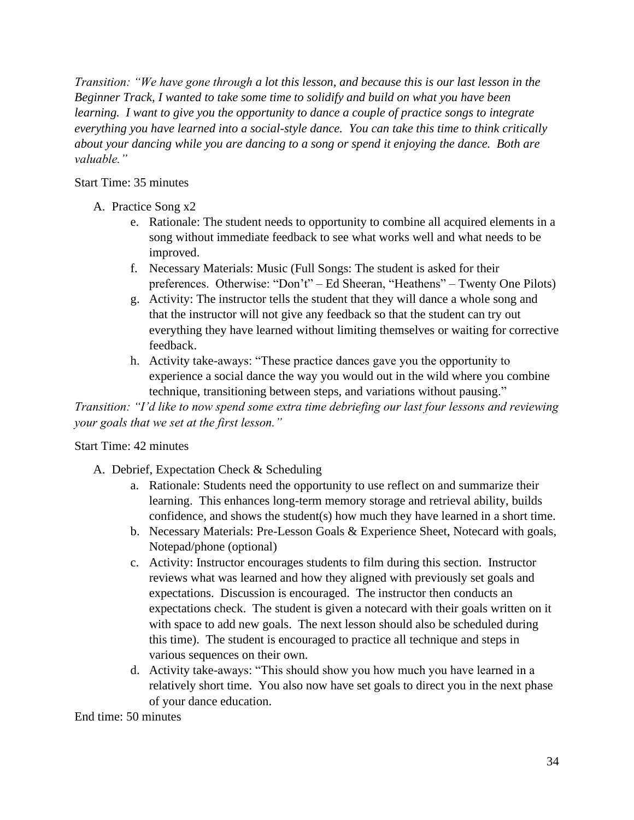*Transition: "We have gone through a lot this lesson, and because this is our last lesson in the Beginner Track, I wanted to take some time to solidify and build on what you have been learning. I want to give you the opportunity to dance a couple of practice songs to integrate everything you have learned into a social-style dance. You can take this time to think critically about your dancing while you are dancing to a song or spend it enjoying the dance. Both are valuable."* 

### Start Time: 35 minutes

- A. Practice Song x2
	- e. Rationale: The student needs to opportunity to combine all acquired elements in a song without immediate feedback to see what works well and what needs to be improved.
	- f. Necessary Materials: Music (Full Songs: The student is asked for their preferences. Otherwise: "Don't" – Ed Sheeran, "Heathens" – Twenty One Pilots)
	- g. Activity: The instructor tells the student that they will dance a whole song and that the instructor will not give any feedback so that the student can try out everything they have learned without limiting themselves or waiting for corrective feedback.
	- h. Activity take-aways: "These practice dances gave you the opportunity to experience a social dance the way you would out in the wild where you combine technique, transitioning between steps, and variations without pausing."

*Transition: "I'd like to now spend some extra time debriefing our last four lessons and reviewing your goals that we set at the first lesson."*

## Start Time: 42 minutes

- A. Debrief, Expectation Check & Scheduling
	- a. Rationale: Students need the opportunity to use reflect on and summarize their learning. This enhances long-term memory storage and retrieval ability, builds confidence, and shows the student(s) how much they have learned in a short time.
	- b. Necessary Materials: Pre-Lesson Goals & Experience Sheet, Notecard with goals, Notepad/phone (optional)
	- c. Activity: Instructor encourages students to film during this section. Instructor reviews what was learned and how they aligned with previously set goals and expectations. Discussion is encouraged. The instructor then conducts an expectations check. The student is given a notecard with their goals written on it with space to add new goals. The next lesson should also be scheduled during this time). The student is encouraged to practice all technique and steps in various sequences on their own.
	- d. Activity take-aways: "This should show you how much you have learned in a relatively short time. You also now have set goals to direct you in the next phase of your dance education.

End time: 50 minutes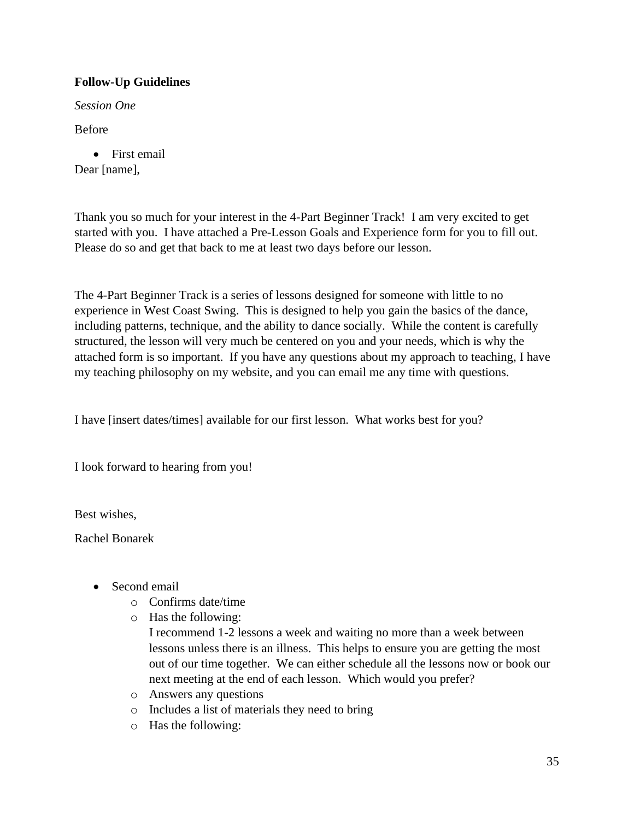# **Follow-Up Guidelines**

*Session One*

Before

• First email Dear [name],

Thank you so much for your interest in the 4-Part Beginner Track! I am very excited to get started with you. I have attached a Pre-Lesson Goals and Experience form for you to fill out. Please do so and get that back to me at least two days before our lesson.

The 4-Part Beginner Track is a series of lessons designed for someone with little to no experience in West Coast Swing. This is designed to help you gain the basics of the dance, including patterns, technique, and the ability to dance socially. While the content is carefully structured, the lesson will very much be centered on you and your needs, which is why the attached form is so important. If you have any questions about my approach to teaching, I have my teaching philosophy on my website, and you can email me any time with questions.

I have [insert dates/times] available for our first lesson. What works best for you?

I look forward to hearing from you!

Best wishes,

Rachel Bonarek

- Second email
	- o Confirms date/time
	- o Has the following:

I recommend 1-2 lessons a week and waiting no more than a week between lessons unless there is an illness. This helps to ensure you are getting the most out of our time together. We can either schedule all the lessons now or book our next meeting at the end of each lesson. Which would you prefer?

- o Answers any questions
- o Includes a list of materials they need to bring
- o Has the following: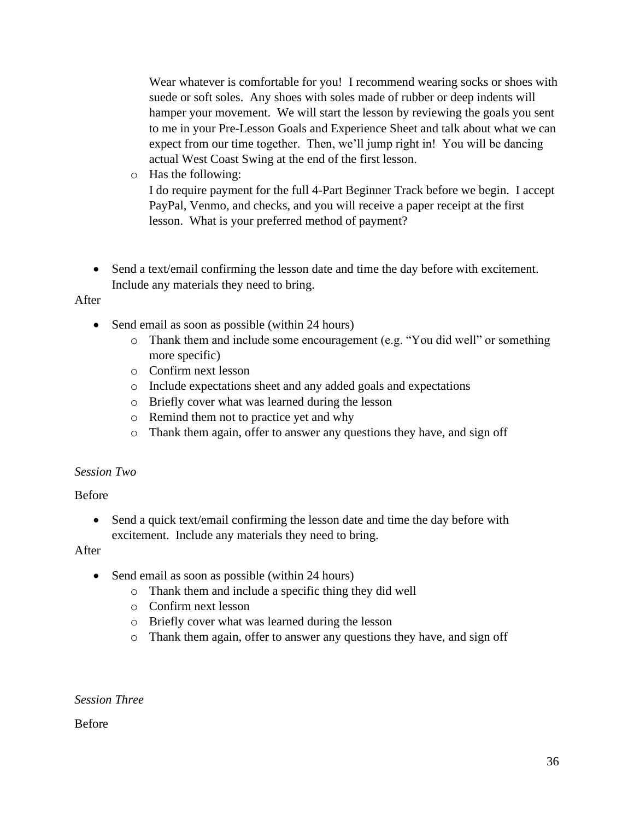Wear whatever is comfortable for you! I recommend wearing socks or shoes with suede or soft soles. Any shoes with soles made of rubber or deep indents will hamper your movement. We will start the lesson by reviewing the goals you sent to me in your Pre-Lesson Goals and Experience Sheet and talk about what we can expect from our time together. Then, we'll jump right in! You will be dancing actual West Coast Swing at the end of the first lesson.

- o Has the following: I do require payment for the full 4-Part Beginner Track before we begin. I accept PayPal, Venmo, and checks, and you will receive a paper receipt at the first lesson. What is your preferred method of payment?
- Send a text/email confirming the lesson date and time the day before with excitement. Include any materials they need to bring.

### After

- Send email as soon as possible (within 24 hours)
	- o Thank them and include some encouragement (e.g. "You did well" or something more specific)
	- o Confirm next lesson
	- o Include expectations sheet and any added goals and expectations
	- o Briefly cover what was learned during the lesson
	- o Remind them not to practice yet and why
	- o Thank them again, offer to answer any questions they have, and sign off

## *Session Two*

## Before

• Send a quick text/email confirming the lesson date and time the day before with excitement. Include any materials they need to bring.

After

- Send email as soon as possible (within 24 hours)
	- o Thank them and include a specific thing they did well
	- o Confirm next lesson
	- o Briefly cover what was learned during the lesson
	- o Thank them again, offer to answer any questions they have, and sign off

*Session Three*

Before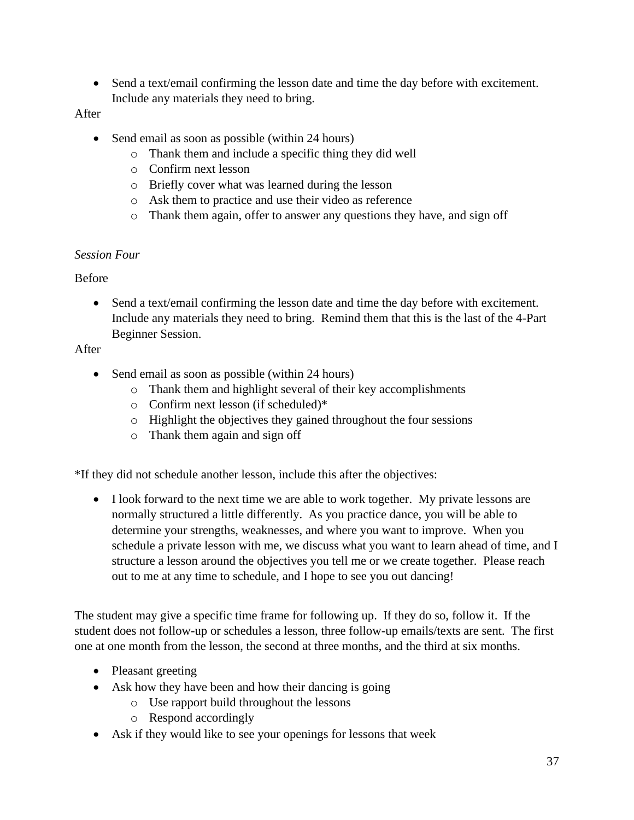• Send a text/email confirming the lesson date and time the day before with excitement. Include any materials they need to bring.

## After

- Send email as soon as possible (within 24 hours)
	- o Thank them and include a specific thing they did well
	- o Confirm next lesson
	- o Briefly cover what was learned during the lesson
	- o Ask them to practice and use their video as reference
	- o Thank them again, offer to answer any questions they have, and sign off

## *Session Four*

# Before

• Send a text/email confirming the lesson date and time the day before with excitement. Include any materials they need to bring. Remind them that this is the last of the 4-Part Beginner Session.

# After

- Send email as soon as possible (within 24 hours)
	- o Thank them and highlight several of their key accomplishments
	- o Confirm next lesson (if scheduled)\*
	- o Highlight the objectives they gained throughout the four sessions
	- o Thank them again and sign off

\*If they did not schedule another lesson, include this after the objectives:

• I look forward to the next time we are able to work together. My private lessons are normally structured a little differently. As you practice dance, you will be able to determine your strengths, weaknesses, and where you want to improve. When you schedule a private lesson with me, we discuss what you want to learn ahead of time, and I structure a lesson around the objectives you tell me or we create together. Please reach out to me at any time to schedule, and I hope to see you out dancing!

The student may give a specific time frame for following up. If they do so, follow it. If the student does not follow-up or schedules a lesson, three follow-up emails/texts are sent. The first one at one month from the lesson, the second at three months, and the third at six months.

- Pleasant greeting
- Ask how they have been and how their dancing is going
	- o Use rapport build throughout the lessons
	- o Respond accordingly
- Ask if they would like to see your openings for lessons that week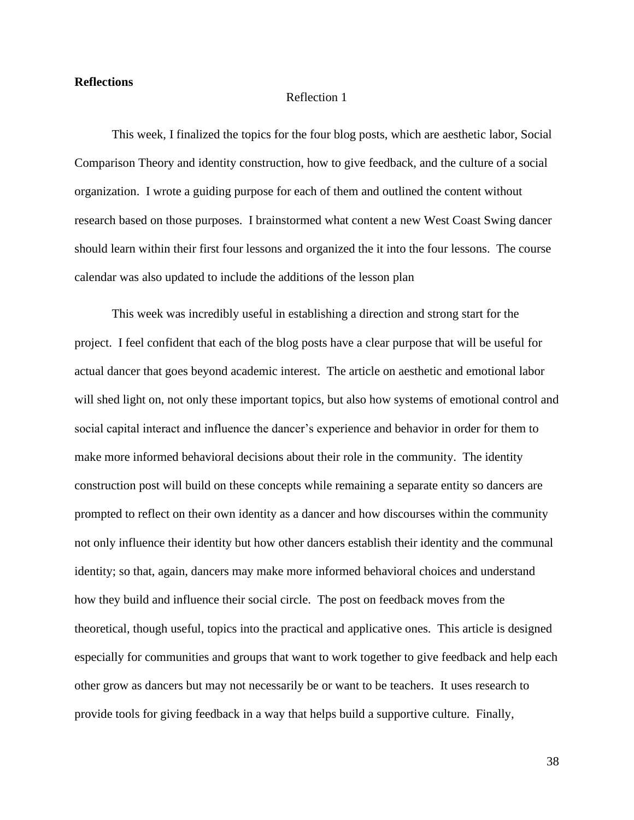#### **Reflections**

#### Reflection 1

This week, I finalized the topics for the four blog posts, which are aesthetic labor, Social Comparison Theory and identity construction, how to give feedback, and the culture of a social organization. I wrote a guiding purpose for each of them and outlined the content without research based on those purposes. I brainstormed what content a new West Coast Swing dancer should learn within their first four lessons and organized the it into the four lessons. The course calendar was also updated to include the additions of the lesson plan

This week was incredibly useful in establishing a direction and strong start for the project. I feel confident that each of the blog posts have a clear purpose that will be useful for actual dancer that goes beyond academic interest. The article on aesthetic and emotional labor will shed light on, not only these important topics, but also how systems of emotional control and social capital interact and influence the dancer's experience and behavior in order for them to make more informed behavioral decisions about their role in the community. The identity construction post will build on these concepts while remaining a separate entity so dancers are prompted to reflect on their own identity as a dancer and how discourses within the community not only influence their identity but how other dancers establish their identity and the communal identity; so that, again, dancers may make more informed behavioral choices and understand how they build and influence their social circle. The post on feedback moves from the theoretical, though useful, topics into the practical and applicative ones. This article is designed especially for communities and groups that want to work together to give feedback and help each other grow as dancers but may not necessarily be or want to be teachers. It uses research to provide tools for giving feedback in a way that helps build a supportive culture. Finally,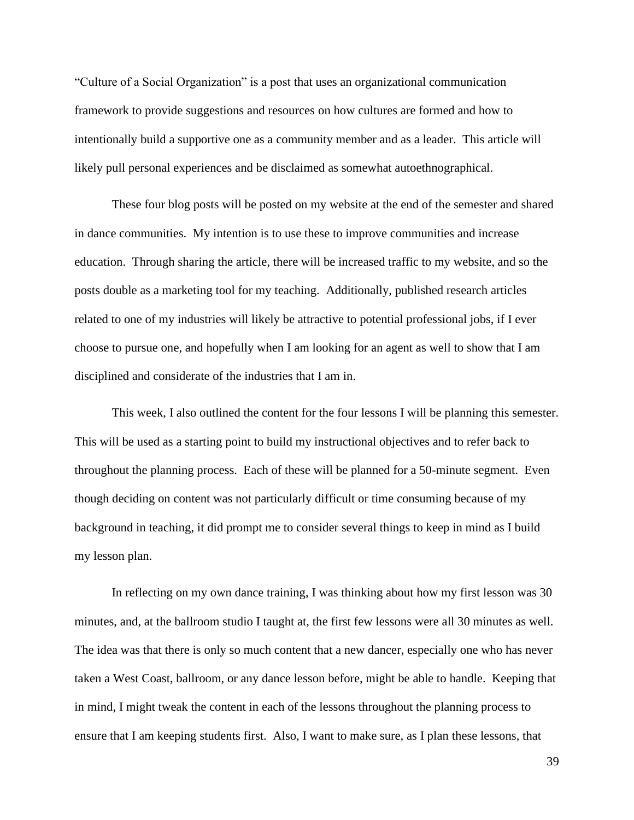"Culture of a Social Organization" is a post that uses an organizational communication framework to provide suggestions and resources on how cultures are formed and how to intentionally build a supportive one as a community member and as a leader. This article will likely pull personal experiences and be disclaimed as somewhat autoethnographical.

These four blog posts will be posted on my website at the end of the semester and shared in dance communities. My intention is to use these to improve communities and increase education. Through sharing the article, there will be increased traffic to my website, and so the posts double as a marketing tool for my teaching. Additionally, published research articles related to one of my industries will likely be attractive to potential professional jobs, if I ever choose to pursue one, and hopefully when I am looking for an agent as well to show that I am disciplined and considerate of the industries that I am in.

This week, I also outlined the content for the four lessons I will be planning this semester. This will be used as a starting point to build my instructional objectives and to refer back to throughout the planning process. Each of these will be planned for a 50-minute segment. Even though deciding on content was not particularly difficult or time consuming because of my background in teaching, it did prompt me to consider several things to keep in mind as I build my lesson plan.

In reflecting on my own dance training, I was thinking about how my first lesson was 30 minutes, and, at the ballroom studio I taught at, the first few lessons were all 30 minutes as well. The idea was that there is only so much content that a new dancer, especially one who has never taken a West Coast, ballroom, or any dance lesson before, might be able to handle. Keeping that in mind, I might tweak the content in each of the lessons throughout the planning process to ensure that I am keeping students first. Also, I want to make sure, as I plan these lessons, that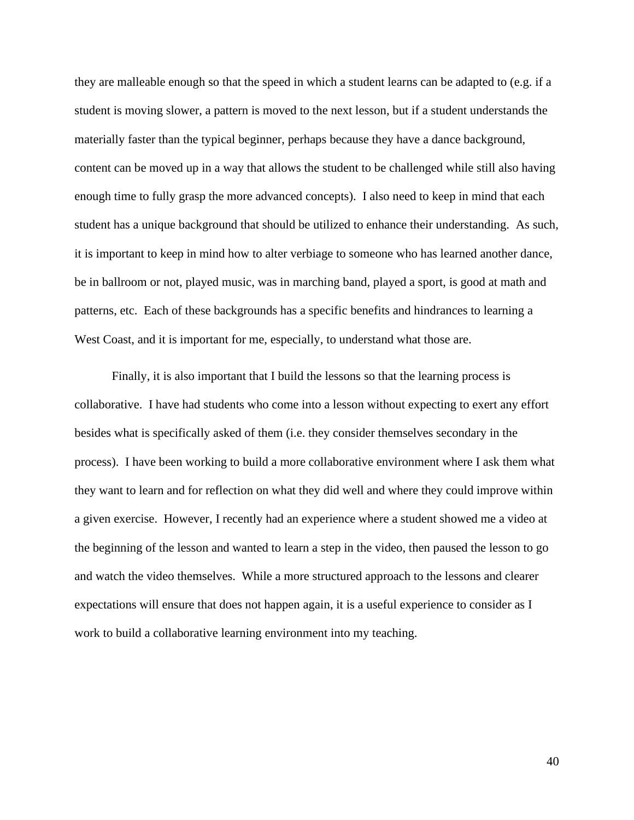they are malleable enough so that the speed in which a student learns can be adapted to (e.g. if a student is moving slower, a pattern is moved to the next lesson, but if a student understands the materially faster than the typical beginner, perhaps because they have a dance background, content can be moved up in a way that allows the student to be challenged while still also having enough time to fully grasp the more advanced concepts). I also need to keep in mind that each student has a unique background that should be utilized to enhance their understanding. As such, it is important to keep in mind how to alter verbiage to someone who has learned another dance, be in ballroom or not, played music, was in marching band, played a sport, is good at math and patterns, etc. Each of these backgrounds has a specific benefits and hindrances to learning a West Coast, and it is important for me, especially, to understand what those are.

Finally, it is also important that I build the lessons so that the learning process is collaborative. I have had students who come into a lesson without expecting to exert any effort besides what is specifically asked of them (i.e. they consider themselves secondary in the process). I have been working to build a more collaborative environment where I ask them what they want to learn and for reflection on what they did well and where they could improve within a given exercise. However, I recently had an experience where a student showed me a video at the beginning of the lesson and wanted to learn a step in the video, then paused the lesson to go and watch the video themselves. While a more structured approach to the lessons and clearer expectations will ensure that does not happen again, it is a useful experience to consider as I work to build a collaborative learning environment into my teaching.

40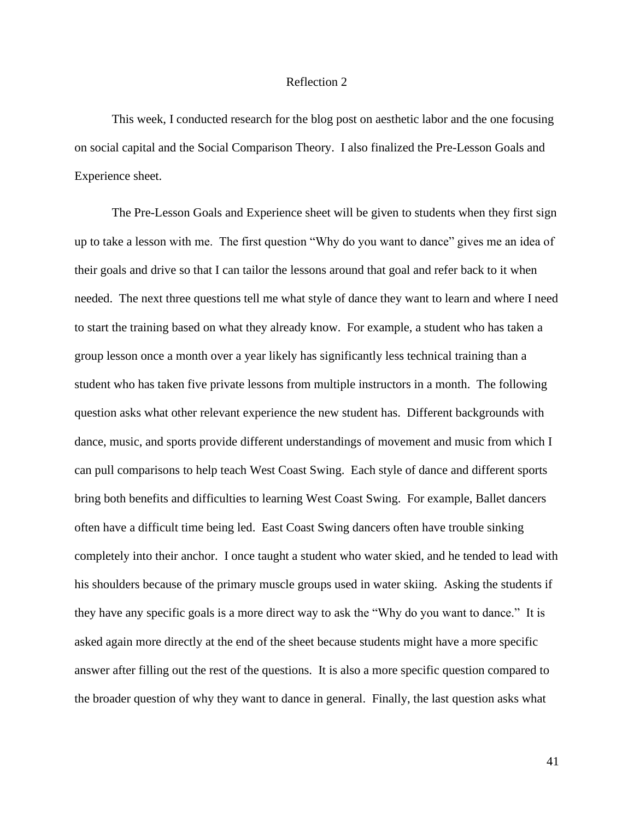#### Reflection 2

This week, I conducted research for the blog post on aesthetic labor and the one focusing on social capital and the Social Comparison Theory. I also finalized the Pre-Lesson Goals and Experience sheet.

The Pre-Lesson Goals and Experience sheet will be given to students when they first sign up to take a lesson with me. The first question "Why do you want to dance" gives me an idea of their goals and drive so that I can tailor the lessons around that goal and refer back to it when needed. The next three questions tell me what style of dance they want to learn and where I need to start the training based on what they already know. For example, a student who has taken a group lesson once a month over a year likely has significantly less technical training than a student who has taken five private lessons from multiple instructors in a month. The following question asks what other relevant experience the new student has. Different backgrounds with dance, music, and sports provide different understandings of movement and music from which I can pull comparisons to help teach West Coast Swing. Each style of dance and different sports bring both benefits and difficulties to learning West Coast Swing. For example, Ballet dancers often have a difficult time being led. East Coast Swing dancers often have trouble sinking completely into their anchor. I once taught a student who water skied, and he tended to lead with his shoulders because of the primary muscle groups used in water skiing. Asking the students if they have any specific goals is a more direct way to ask the "Why do you want to dance." It is asked again more directly at the end of the sheet because students might have a more specific answer after filling out the rest of the questions. It is also a more specific question compared to the broader question of why they want to dance in general. Finally, the last question asks what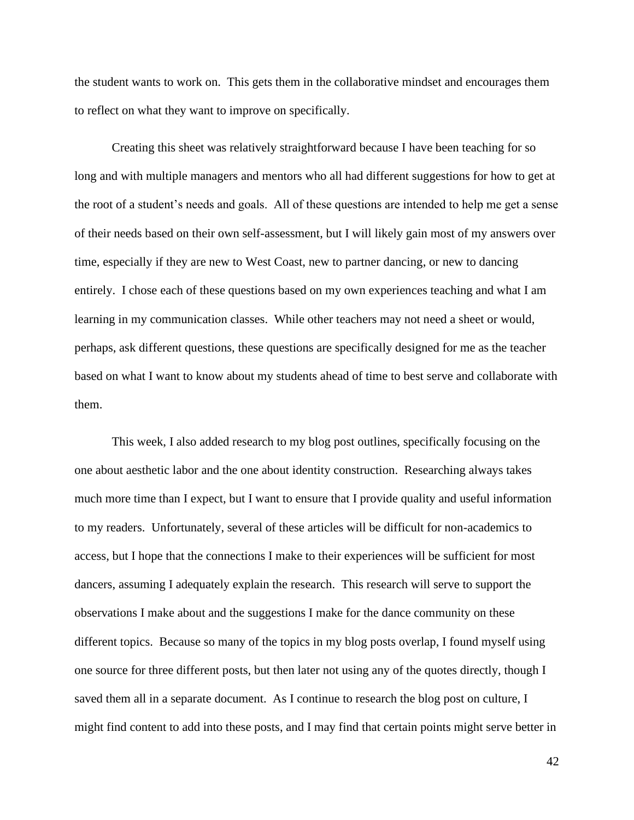the student wants to work on. This gets them in the collaborative mindset and encourages them to reflect on what they want to improve on specifically.

Creating this sheet was relatively straightforward because I have been teaching for so long and with multiple managers and mentors who all had different suggestions for how to get at the root of a student's needs and goals. All of these questions are intended to help me get a sense of their needs based on their own self-assessment, but I will likely gain most of my answers over time, especially if they are new to West Coast, new to partner dancing, or new to dancing entirely. I chose each of these questions based on my own experiences teaching and what I am learning in my communication classes. While other teachers may not need a sheet or would, perhaps, ask different questions, these questions are specifically designed for me as the teacher based on what I want to know about my students ahead of time to best serve and collaborate with them.

This week, I also added research to my blog post outlines, specifically focusing on the one about aesthetic labor and the one about identity construction. Researching always takes much more time than I expect, but I want to ensure that I provide quality and useful information to my readers. Unfortunately, several of these articles will be difficult for non-academics to access, but I hope that the connections I make to their experiences will be sufficient for most dancers, assuming I adequately explain the research. This research will serve to support the observations I make about and the suggestions I make for the dance community on these different topics. Because so many of the topics in my blog posts overlap, I found myself using one source for three different posts, but then later not using any of the quotes directly, though I saved them all in a separate document. As I continue to research the blog post on culture, I might find content to add into these posts, and I may find that certain points might serve better in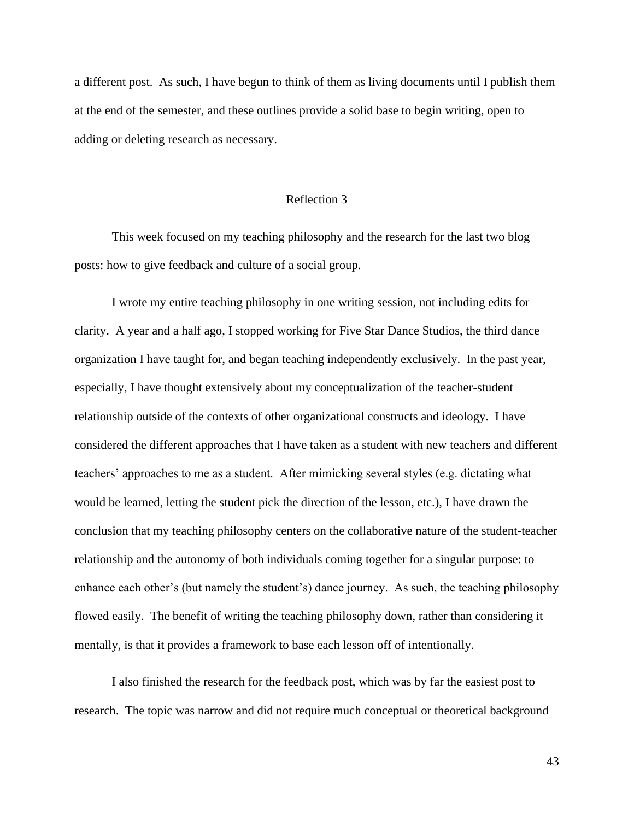a different post. As such, I have begun to think of them as living documents until I publish them at the end of the semester, and these outlines provide a solid base to begin writing, open to adding or deleting research as necessary.

#### Reflection 3

This week focused on my teaching philosophy and the research for the last two blog posts: how to give feedback and culture of a social group.

I wrote my entire teaching philosophy in one writing session, not including edits for clarity. A year and a half ago, I stopped working for Five Star Dance Studios, the third dance organization I have taught for, and began teaching independently exclusively. In the past year, especially, I have thought extensively about my conceptualization of the teacher-student relationship outside of the contexts of other organizational constructs and ideology. I have considered the different approaches that I have taken as a student with new teachers and different teachers' approaches to me as a student. After mimicking several styles (e.g. dictating what would be learned, letting the student pick the direction of the lesson, etc.), I have drawn the conclusion that my teaching philosophy centers on the collaborative nature of the student-teacher relationship and the autonomy of both individuals coming together for a singular purpose: to enhance each other's (but namely the student's) dance journey. As such, the teaching philosophy flowed easily. The benefit of writing the teaching philosophy down, rather than considering it mentally, is that it provides a framework to base each lesson off of intentionally.

I also finished the research for the feedback post, which was by far the easiest post to research. The topic was narrow and did not require much conceptual or theoretical background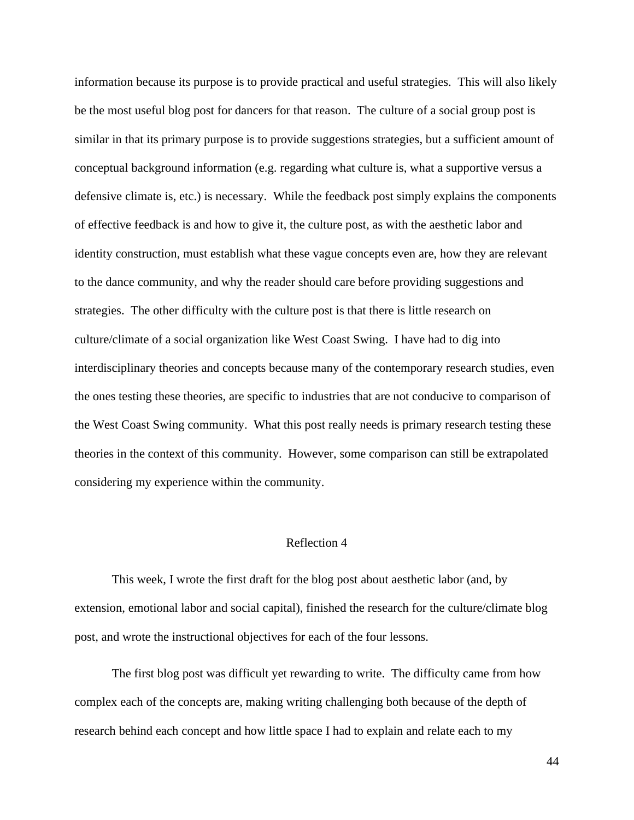information because its purpose is to provide practical and useful strategies. This will also likely be the most useful blog post for dancers for that reason. The culture of a social group post is similar in that its primary purpose is to provide suggestions strategies, but a sufficient amount of conceptual background information (e.g. regarding what culture is, what a supportive versus a defensive climate is, etc.) is necessary. While the feedback post simply explains the components of effective feedback is and how to give it, the culture post, as with the aesthetic labor and identity construction, must establish what these vague concepts even are, how they are relevant to the dance community, and why the reader should care before providing suggestions and strategies. The other difficulty with the culture post is that there is little research on culture/climate of a social organization like West Coast Swing. I have had to dig into interdisciplinary theories and concepts because many of the contemporary research studies, even the ones testing these theories, are specific to industries that are not conducive to comparison of the West Coast Swing community. What this post really needs is primary research testing these theories in the context of this community. However, some comparison can still be extrapolated considering my experience within the community.

#### Reflection 4

This week, I wrote the first draft for the blog post about aesthetic labor (and, by extension, emotional labor and social capital), finished the research for the culture/climate blog post, and wrote the instructional objectives for each of the four lessons.

The first blog post was difficult yet rewarding to write. The difficulty came from how complex each of the concepts are, making writing challenging both because of the depth of research behind each concept and how little space I had to explain and relate each to my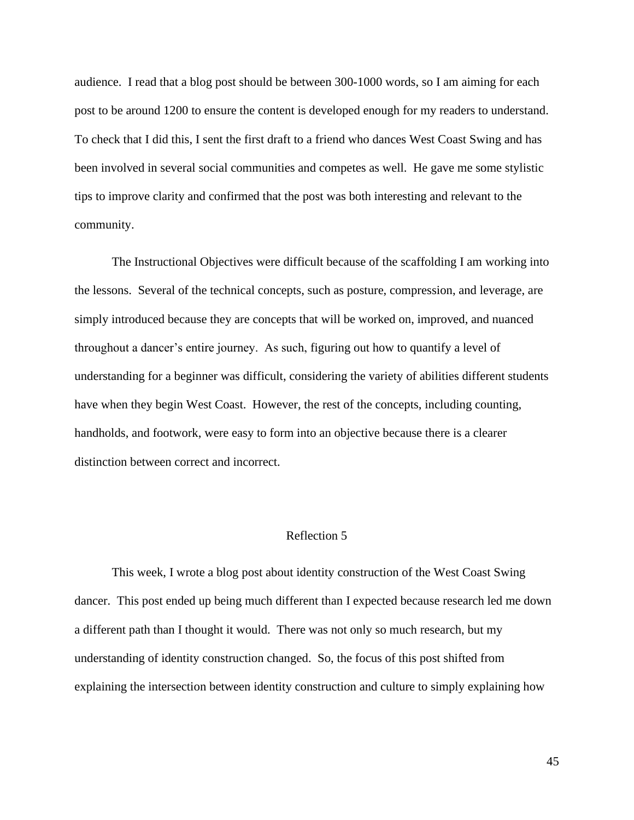audience. I read that a blog post should be between 300-1000 words, so I am aiming for each post to be around 1200 to ensure the content is developed enough for my readers to understand. To check that I did this, I sent the first draft to a friend who dances West Coast Swing and has been involved in several social communities and competes as well. He gave me some stylistic tips to improve clarity and confirmed that the post was both interesting and relevant to the community.

The Instructional Objectives were difficult because of the scaffolding I am working into the lessons. Several of the technical concepts, such as posture, compression, and leverage, are simply introduced because they are concepts that will be worked on, improved, and nuanced throughout a dancer's entire journey. As such, figuring out how to quantify a level of understanding for a beginner was difficult, considering the variety of abilities different students have when they begin West Coast. However, the rest of the concepts, including counting, handholds, and footwork, were easy to form into an objective because there is a clearer distinction between correct and incorrect.

### Reflection 5

This week, I wrote a blog post about identity construction of the West Coast Swing dancer. This post ended up being much different than I expected because research led me down a different path than I thought it would. There was not only so much research, but my understanding of identity construction changed. So, the focus of this post shifted from explaining the intersection between identity construction and culture to simply explaining how

45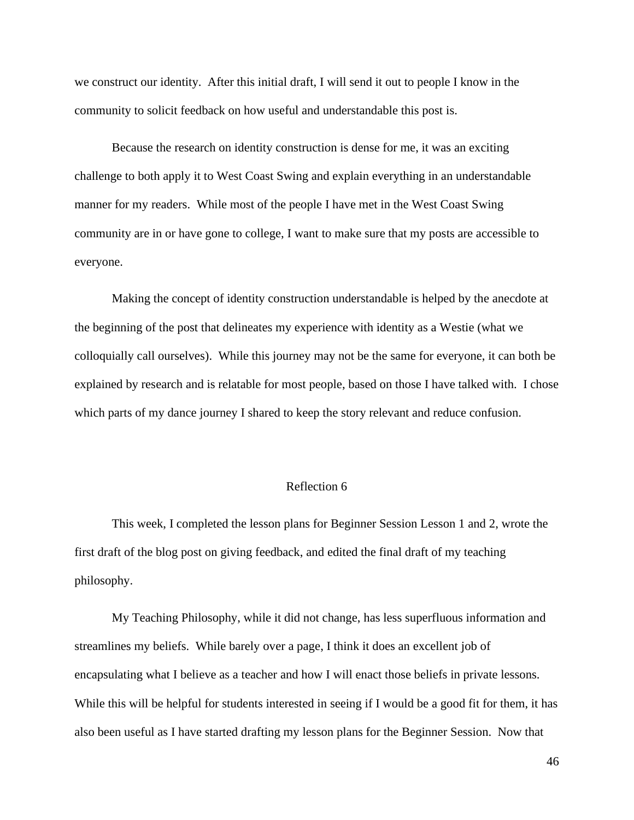we construct our identity. After this initial draft, I will send it out to people I know in the community to solicit feedback on how useful and understandable this post is.

Because the research on identity construction is dense for me, it was an exciting challenge to both apply it to West Coast Swing and explain everything in an understandable manner for my readers. While most of the people I have met in the West Coast Swing community are in or have gone to college, I want to make sure that my posts are accessible to everyone.

Making the concept of identity construction understandable is helped by the anecdote at the beginning of the post that delineates my experience with identity as a Westie (what we colloquially call ourselves). While this journey may not be the same for everyone, it can both be explained by research and is relatable for most people, based on those I have talked with. I chose which parts of my dance journey I shared to keep the story relevant and reduce confusion.

### Reflection 6

This week, I completed the lesson plans for Beginner Session Lesson 1 and 2, wrote the first draft of the blog post on giving feedback, and edited the final draft of my teaching philosophy.

My Teaching Philosophy, while it did not change, has less superfluous information and streamlines my beliefs. While barely over a page, I think it does an excellent job of encapsulating what I believe as a teacher and how I will enact those beliefs in private lessons. While this will be helpful for students interested in seeing if I would be a good fit for them, it has also been useful as I have started drafting my lesson plans for the Beginner Session. Now that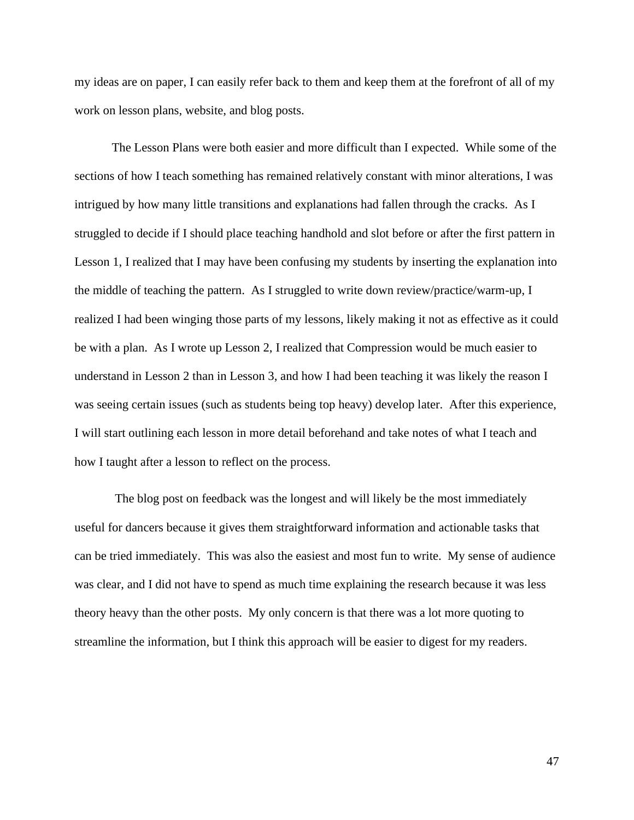my ideas are on paper, I can easily refer back to them and keep them at the forefront of all of my work on lesson plans, website, and blog posts.

The Lesson Plans were both easier and more difficult than I expected. While some of the sections of how I teach something has remained relatively constant with minor alterations, I was intrigued by how many little transitions and explanations had fallen through the cracks. As I struggled to decide if I should place teaching handhold and slot before or after the first pattern in Lesson 1, I realized that I may have been confusing my students by inserting the explanation into the middle of teaching the pattern. As I struggled to write down review/practice/warm-up, I realized I had been winging those parts of my lessons, likely making it not as effective as it could be with a plan. As I wrote up Lesson 2, I realized that Compression would be much easier to understand in Lesson 2 than in Lesson 3, and how I had been teaching it was likely the reason I was seeing certain issues (such as students being top heavy) develop later. After this experience, I will start outlining each lesson in more detail beforehand and take notes of what I teach and how I taught after a lesson to reflect on the process.

The blog post on feedback was the longest and will likely be the most immediately useful for dancers because it gives them straightforward information and actionable tasks that can be tried immediately. This was also the easiest and most fun to write. My sense of audience was clear, and I did not have to spend as much time explaining the research because it was less theory heavy than the other posts. My only concern is that there was a lot more quoting to streamline the information, but I think this approach will be easier to digest for my readers.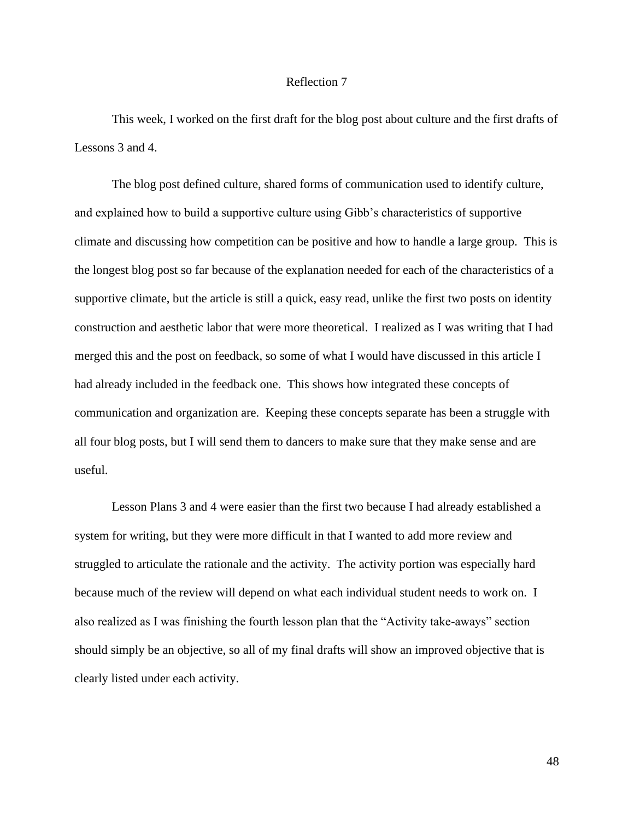#### Reflection 7

This week, I worked on the first draft for the blog post about culture and the first drafts of Lessons 3 and 4.

The blog post defined culture, shared forms of communication used to identify culture, and explained how to build a supportive culture using Gibb's characteristics of supportive climate and discussing how competition can be positive and how to handle a large group. This is the longest blog post so far because of the explanation needed for each of the characteristics of a supportive climate, but the article is still a quick, easy read, unlike the first two posts on identity construction and aesthetic labor that were more theoretical. I realized as I was writing that I had merged this and the post on feedback, so some of what I would have discussed in this article I had already included in the feedback one. This shows how integrated these concepts of communication and organization are. Keeping these concepts separate has been a struggle with all four blog posts, but I will send them to dancers to make sure that they make sense and are useful.

Lesson Plans 3 and 4 were easier than the first two because I had already established a system for writing, but they were more difficult in that I wanted to add more review and struggled to articulate the rationale and the activity. The activity portion was especially hard because much of the review will depend on what each individual student needs to work on. I also realized as I was finishing the fourth lesson plan that the "Activity take-aways" section should simply be an objective, so all of my final drafts will show an improved objective that is clearly listed under each activity.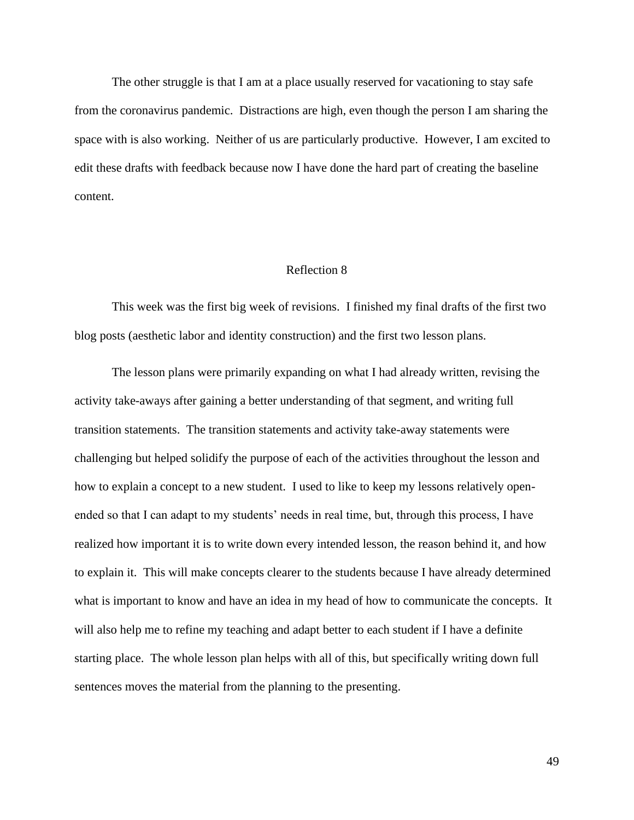The other struggle is that I am at a place usually reserved for vacationing to stay safe from the coronavirus pandemic. Distractions are high, even though the person I am sharing the space with is also working. Neither of us are particularly productive. However, I am excited to edit these drafts with feedback because now I have done the hard part of creating the baseline content.

#### Reflection 8

This week was the first big week of revisions. I finished my final drafts of the first two blog posts (aesthetic labor and identity construction) and the first two lesson plans.

The lesson plans were primarily expanding on what I had already written, revising the activity take-aways after gaining a better understanding of that segment, and writing full transition statements. The transition statements and activity take-away statements were challenging but helped solidify the purpose of each of the activities throughout the lesson and how to explain a concept to a new student. I used to like to keep my lessons relatively openended so that I can adapt to my students' needs in real time, but, through this process, I have realized how important it is to write down every intended lesson, the reason behind it, and how to explain it. This will make concepts clearer to the students because I have already determined what is important to know and have an idea in my head of how to communicate the concepts. It will also help me to refine my teaching and adapt better to each student if I have a definite starting place. The whole lesson plan helps with all of this, but specifically writing down full sentences moves the material from the planning to the presenting.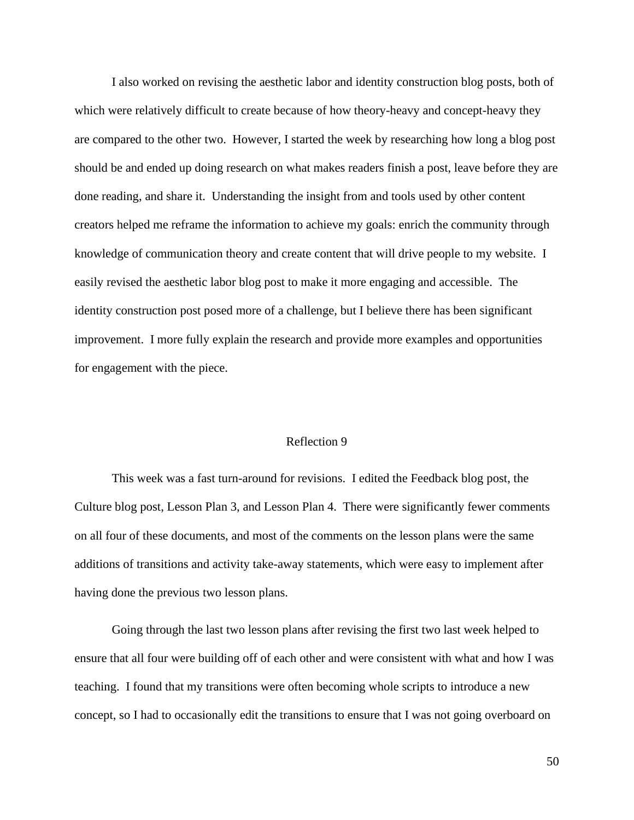I also worked on revising the aesthetic labor and identity construction blog posts, both of which were relatively difficult to create because of how theory-heavy and concept-heavy they are compared to the other two. However, I started the week by researching how long a blog post should be and ended up doing research on what makes readers finish a post, leave before they are done reading, and share it. Understanding the insight from and tools used by other content creators helped me reframe the information to achieve my goals: enrich the community through knowledge of communication theory and create content that will drive people to my website. I easily revised the aesthetic labor blog post to make it more engaging and accessible. The identity construction post posed more of a challenge, but I believe there has been significant improvement. I more fully explain the research and provide more examples and opportunities for engagement with the piece.

#### Reflection 9

This week was a fast turn-around for revisions. I edited the Feedback blog post, the Culture blog post, Lesson Plan 3, and Lesson Plan 4. There were significantly fewer comments on all four of these documents, and most of the comments on the lesson plans were the same additions of transitions and activity take-away statements, which were easy to implement after having done the previous two lesson plans.

Going through the last two lesson plans after revising the first two last week helped to ensure that all four were building off of each other and were consistent with what and how I was teaching. I found that my transitions were often becoming whole scripts to introduce a new concept, so I had to occasionally edit the transitions to ensure that I was not going overboard on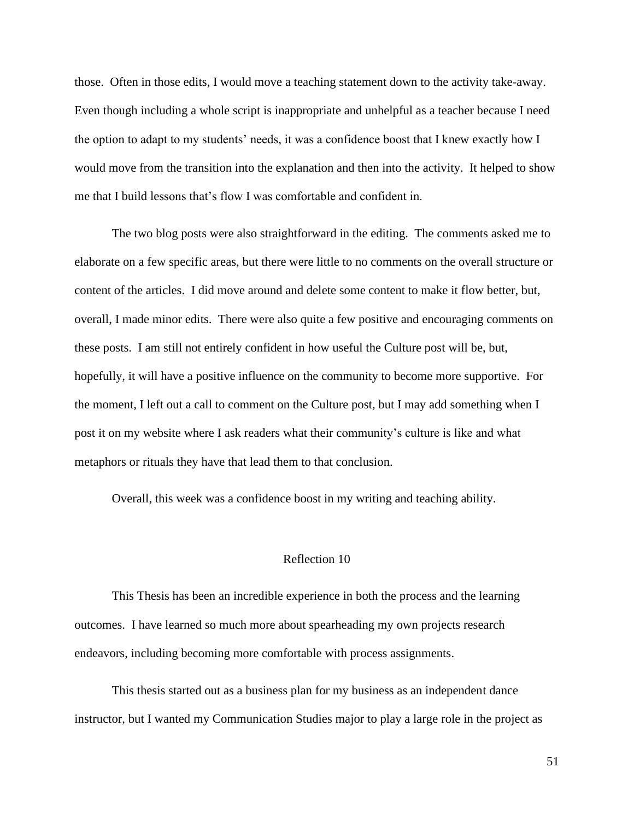those. Often in those edits, I would move a teaching statement down to the activity take-away. Even though including a whole script is inappropriate and unhelpful as a teacher because I need the option to adapt to my students' needs, it was a confidence boost that I knew exactly how I would move from the transition into the explanation and then into the activity. It helped to show me that I build lessons that's flow I was comfortable and confident in.

The two blog posts were also straightforward in the editing. The comments asked me to elaborate on a few specific areas, but there were little to no comments on the overall structure or content of the articles. I did move around and delete some content to make it flow better, but, overall, I made minor edits. There were also quite a few positive and encouraging comments on these posts. I am still not entirely confident in how useful the Culture post will be, but, hopefully, it will have a positive influence on the community to become more supportive. For the moment, I left out a call to comment on the Culture post, but I may add something when I post it on my website where I ask readers what their community's culture is like and what metaphors or rituals they have that lead them to that conclusion.

Overall, this week was a confidence boost in my writing and teaching ability.

#### Reflection 10

This Thesis has been an incredible experience in both the process and the learning outcomes. I have learned so much more about spearheading my own projects research endeavors, including becoming more comfortable with process assignments.

This thesis started out as a business plan for my business as an independent dance instructor, but I wanted my Communication Studies major to play a large role in the project as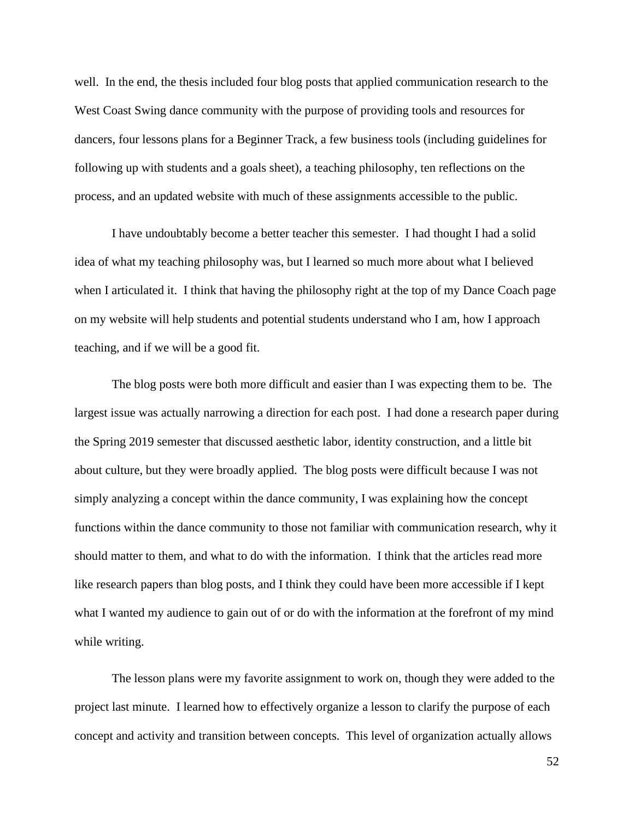well. In the end, the thesis included four blog posts that applied communication research to the West Coast Swing dance community with the purpose of providing tools and resources for dancers, four lessons plans for a Beginner Track, a few business tools (including guidelines for following up with students and a goals sheet), a teaching philosophy, ten reflections on the process, and an updated website with much of these assignments accessible to the public.

I have undoubtably become a better teacher this semester. I had thought I had a solid idea of what my teaching philosophy was, but I learned so much more about what I believed when I articulated it. I think that having the philosophy right at the top of my Dance Coach page on my website will help students and potential students understand who I am, how I approach teaching, and if we will be a good fit.

The blog posts were both more difficult and easier than I was expecting them to be. The largest issue was actually narrowing a direction for each post. I had done a research paper during the Spring 2019 semester that discussed aesthetic labor, identity construction, and a little bit about culture, but they were broadly applied. The blog posts were difficult because I was not simply analyzing a concept within the dance community, I was explaining how the concept functions within the dance community to those not familiar with communication research, why it should matter to them, and what to do with the information. I think that the articles read more like research papers than blog posts, and I think they could have been more accessible if I kept what I wanted my audience to gain out of or do with the information at the forefront of my mind while writing.

The lesson plans were my favorite assignment to work on, though they were added to the project last minute. I learned how to effectively organize a lesson to clarify the purpose of each concept and activity and transition between concepts. This level of organization actually allows

52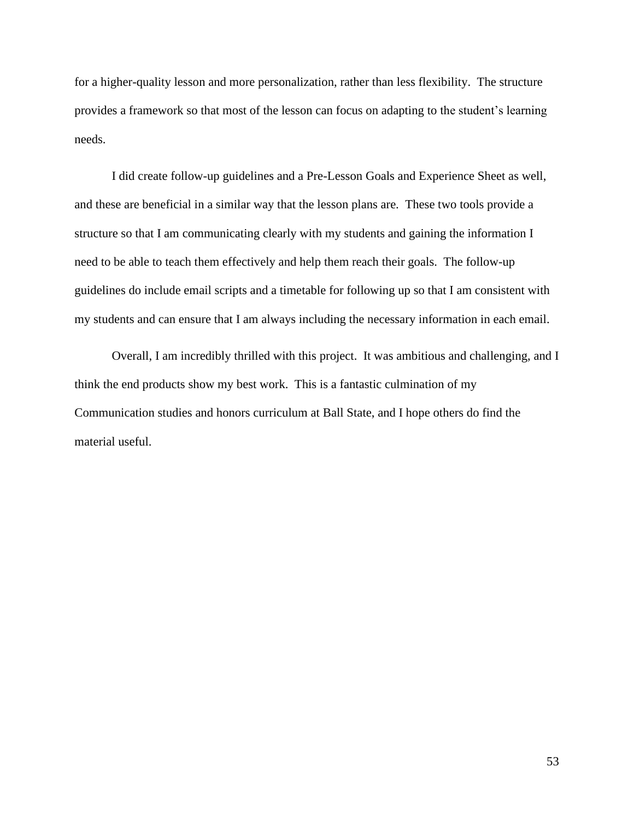for a higher-quality lesson and more personalization, rather than less flexibility. The structure provides a framework so that most of the lesson can focus on adapting to the student's learning needs.

I did create follow-up guidelines and a Pre-Lesson Goals and Experience Sheet as well, and these are beneficial in a similar way that the lesson plans are. These two tools provide a structure so that I am communicating clearly with my students and gaining the information I need to be able to teach them effectively and help them reach their goals. The follow-up guidelines do include email scripts and a timetable for following up so that I am consistent with my students and can ensure that I am always including the necessary information in each email.

Overall, I am incredibly thrilled with this project. It was ambitious and challenging, and I think the end products show my best work. This is a fantastic culmination of my Communication studies and honors curriculum at Ball State, and I hope others do find the material useful.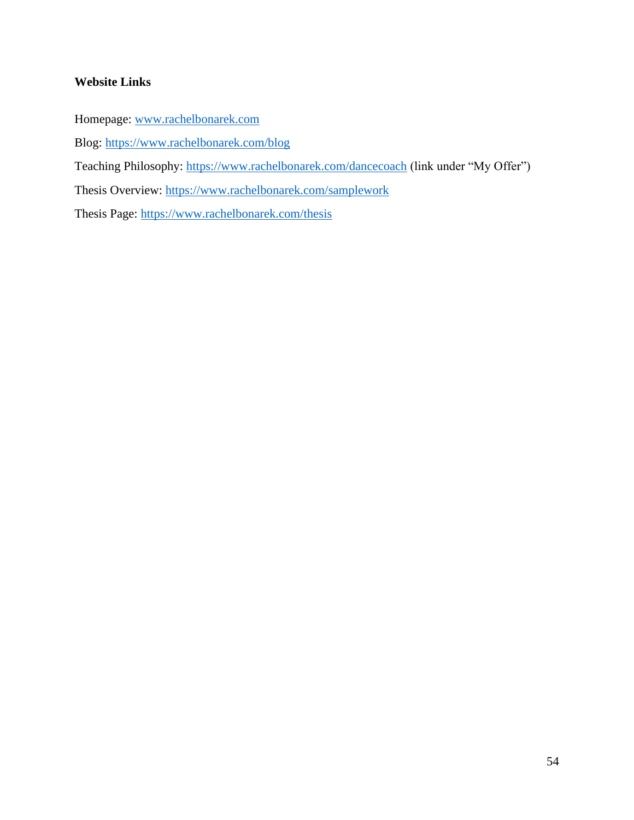## **Website Links**

Homepage: [www.rachelbonarek.com](http://www.rachelbonarek.com/)

Blog:<https://www.rachelbonarek.com/blog>

Teaching Philosophy:<https://www.rachelbonarek.com/dancecoach> (link under "My Offer")

Thesis Overview:<https://www.rachelbonarek.com/samplework>

Thesis Page:<https://www.rachelbonarek.com/thesis>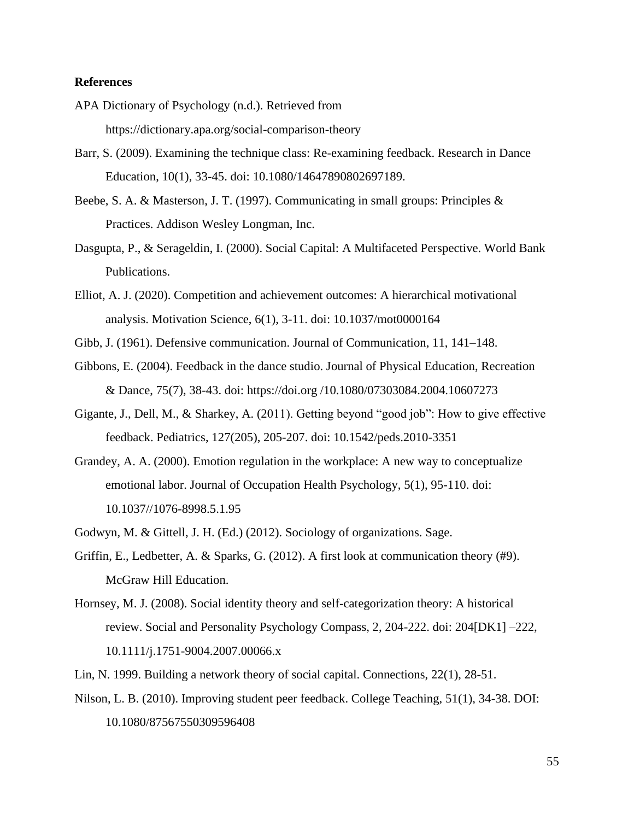#### **References**

- APA Dictionary of Psychology (n.d.). Retrieved from https://dictionary.apa.org/social-comparison-theory
- Barr, S. (2009). Examining the technique class: Re-examining feedback. Research in Dance Education, 10(1), 33-45. doi: 10.1080/14647890802697189.
- Beebe, S. A. & Masterson, J. T. (1997). Communicating in small groups: Principles & Practices. Addison Wesley Longman, Inc.
- Dasgupta, P., & Serageldin, I. (2000). Social Capital: A Multifaceted Perspective. World Bank Publications.
- Elliot, A. J. (2020). Competition and achievement outcomes: A hierarchical motivational analysis. Motivation Science, 6(1), 3-11. doi: 10.1037/mot0000164
- Gibb, J. (1961). Defensive communication. Journal of Communication, 11, 141–148.
- Gibbons, E. (2004). Feedback in the dance studio. Journal of Physical Education, Recreation & Dance, 75(7), 38-43. doi: https://doi.org /10.1080/07303084.2004.10607273
- Gigante, J., Dell, M., & Sharkey, A. (2011). Getting beyond "good job": How to give effective feedback. Pediatrics, 127(205), 205-207. doi: 10.1542/peds.2010-3351
- Grandey, A. A. (2000). Emotion regulation in the workplace: A new way to conceptualize emotional labor. Journal of Occupation Health Psychology, 5(1), 95-110. doi: 10.1037//1076-8998.5.1.95
- Godwyn, M. & Gittell, J. H. (Ed.) (2012). Sociology of organizations. Sage.
- Griffin, E., Ledbetter, A. & Sparks, G. (2012). A first look at communication theory (#9). McGraw Hill Education.
- Hornsey, M. J. (2008). Social identity theory and self-categorization theory: A historical review. Social and Personality Psychology Compass, 2, 204-222. doi: 204[DK1] –222, 10.1111/j.1751-9004.2007.00066.x

Lin, N. 1999. Building a network theory of social capital. Connections, 22(1), 28-51.

Nilson, L. B. (2010). Improving student peer feedback. College Teaching, 51(1), 34-38. DOI: 10.1080/87567550309596408